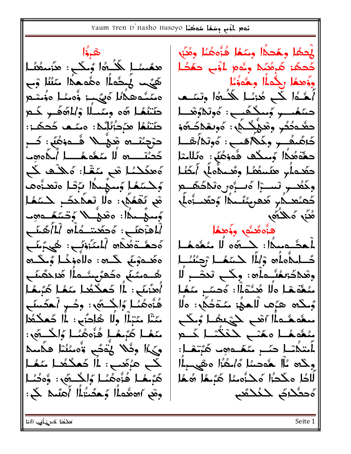**ئگرؤا** ھمَسُلِ لَگُرُهُ! وُلَّكَ : ھُزَمَعُنُـا بِّيَّ الْنُمْهَ الْمُعْمَدُ الْمَثْمَلَ مِنْهُا وَبِ مَمَّنُّدهِكُمُّلُّا هَيِّبٍ; وُّمِمُّا مُؤْمَّنِهِ حَنْتُهُا هُو مِمْساً وْالْمُوَّبِ خَـْم حَنَّتْنُمُا مَرِّحُزُنُانُمْ: مَمَّـمَّ خَحَمًّـ;: حرْجِنْنَــ ۞ شَهْـــٰلا ۚ قُـــٰـٰءوَهُمۡ: كَـــٰرِ كَتْشَــــــــه لَا مُعْشَمْــــــــا أُمكُّوهِ هُمكَنْدُا هُي سَقْاً: هُلْكُ لَكَي كِكْسُمًا بُسِهْتِمًا بَآتَا هِتْعَزُّەت هْمِ بُقْعُكُمِ: هَلَا تَعْكُنْكُمْ لَكْتُمُا وُسِيْسِياً: وَشَيْئِ لَا وُتَسَمَّدُوب آءاد أمانًا مَحَمَّد تَسْدُرُه أَمْلاً هُنَّب ەَحشتەمدە لالمئۇنى: ھَيْرَسَّى ەقىمۇمَە كە: ەللەذخُا ۇڭە ھُـــەمَّىَـلُّى ەكھۇبىشــەلَمَا ھُدىكْمَىَّــى أَهْبَنَى : أَا حَمْكُعُا سَمُا كَبُسُا قُزُّهِكُمُا وَالْحُسَنَى : وِكُــرٍ أَحْكَسَكَــر مَنْنَا مَنْزِلَمَا وِلَا هُاحَّنِي: لَمَا كَمِكْعُل مَمْا هُبُمْا فُزْهِهُمْا وُاكْتُو: وِّيمًا وِثَلاً يَتْمَعَ وَّدْسُنَا هِكْسِمْ كُم هَزُهُمبِ: أَا كَعَكْتُمَا مَعْا كَبُسْطَا فُزْهِكْسَا وَالْحُسْمَى: وُهِكْسَا وهْدِ ٱ۞هُـٰدَاۢ ٱ وَحَصُّنُٰٓ اُلۡ اُهۡفَدَٰ ۚ لَٰٓ :

لْمَحْمَا وَهَدَاً وَعَمْاً فُزُّهِمْاً وَقُرُّب كُحكَة كَبِعُنَكَ وِخْوِ لَمْوَجِ حَقَصًا |وَذَهَمُا رَبُّهُ أَلْمَ وَحَدَّدُنَا | أَهْـُهُ| كَبِ هُـٰهَـٰـا لَمَكْـهُ| وِتَسَـم حسَّمُّسِ وَسَكَّفُسٍ: ەُولْلاَوُقْسَا حَقَّـٰهِ مَكْرِي وَشَدْرِيكُمْ ﴾ : ۚ هُوبِـهَـٰهُكُمُو ۖ كَاكْتُفْسِ وِكْلاَقْسى: ەُولْلاَاْشْسَا حَقَّةَهُدًا وَسَكُفَ قُودُهُهُ: وَتُلاَسْدَا حَعْدهلَى هنَسعُنُا وِمُحْمَدُهُ) أَمَثَنَا وكُعُصِرِ تَسْتَزَا هُصَرُّهُ وَتَذَكَّضُهِرَ كَعنُعــدُــر مُعمِينُــْـدَا وُحِقُعـــأهلُ حب<br>| هُنَّز، مَ الأَرْهَ.<br>| هِ أَوْ مَّشَهِ وَ وَ هِ هَا.<br>| هُ مَمْ الله عنهما الله عنهما الله عنهما الله عنهما الله عنهما الله عنهما ال أحدَّــــمــداً: ﴿ صَنْ مَعْ اللَّهُ مُحْمَدُ ا كَـالِمْهِالُهِ وَٱلْمَالِكُمُكُمْ رَجِئْتُنَا ۖ وِثْلاَكْرْبُغُشُـٰء]۞ : وِكُـُـبِ لَدْشَــرٍ لَل مُعْقَمَا وَلَا هُنْتَهَاْ: وَحِمَّرِ مَعْهَا وُكُلُّهُ هَزَمَ لَلْعَوْمُ: مُتَوَكِّكُمْ: وَلَا مىڤەملا آھى كىسىما ۋىك سُمُهُمُا مَمَنْبِ حَنْقُنَا كَـــمِ لمُتكَسَّا حَبَّ مَكَدِّدٍ وَيَقْدَلِ: وكته عُلًّا هُدَدْمًا هُامُهُ أَصْلِهِ الْمُحَمَّلَ لَاحًا مكْحُرًا مَكْزُمِمًا هَبْعَهُا هُمَّا ەدئىلاكى لىكلىگىيە

الماأأ بهف الفكمة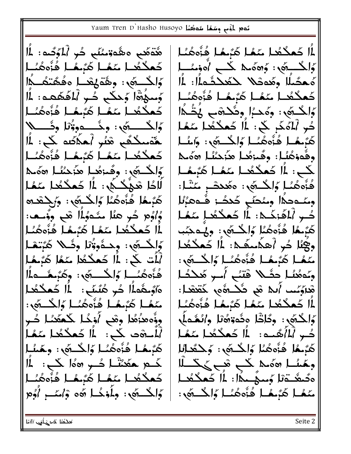raum Tren D`Hasho Husoyo مُعْمُمُ Yaum Tren D`Hasho Husoyo

هُتَمَكِ مِثْمَةِمْنُكَ حُرِ ٱلْمُؤَكِّسَةِ: لَمَا لَمَا كَمَكْتُدَا مَثْمًا كَبُنْهَا فُتُوهُنَا ۖ كَعِدْتُما مَعْا كَبُنْهَا فُزُّەكْسَا وَالْحَسِبُونَ: وَ90َمِطْ كَسَبِ أَ9وَمِئِسَا |فَرَاجٌ أَمَى: وِهْتَمْهُمْ لِمُعْلَمِهِ مَعْتَمُكُمْ الْمَ هُ هَشُلًا ومُدْتَكُمْ كَمُحْدَّدُهِ أَلَ وَسَيْرَةُا وَحَكَّى حُـرِ ٱلْمُعَكَّدِ ۚ اَلَّا كمكعُبا مَمْا مُرْمْا فُزْهِ مُنْا كمكعُبا مَمْا مُبْمُا فُزُوهُنا وَالْحُدُّهِ: وَمَحْزًا وِضُحْشَى هُشُكُا وَالْحَـــــوَىٰ: وِخُــــــووُْلَا وِفُـــــلا كُر ٱلْمُكَرِ كَلِ: ١٨ كَمْكْتُدا مَمْا هَّةمىڭگَى شَلُو أَهلَّاضُه كُل: لَم كَبْسُمًا فُزْهِكُمُا وَالْحُسْمَى: وَاسُلْ كَعْكَمُا مَعْصَا كَبُنْغَا فُزُّدَهُنَا وفُووْهُنُا: وفُيزهُا هزَيْنُنُا 100هـ كَبِ: أَا حُمْكُعُـا مَمْـا هُبْـمُـا وَالْحُسَىٰ: وِقَعِنْهُمِا هَٰذِهَنُمَا هَمَهُ لَاحُا شَيْكُمُ: ١َلَا حُمكُمُا مَمُا |قُزُّەكْمُـْا وَالْحُـرَّى: ەَھُدْشَـرِ مَنْسًا: وسَّــوَــاً وسُتِّــي تُـدَتُــ; فَــومَزْنُا ۖ كَبُسُمَا فُنُوعُمُا وَالْحُبُّوبِ: وَرَحْقَدُو كُــرِ ٱلمَقْنِكَــدَ: لَمَا كَـعَكْـتُعَــلِ مَنْعُـل ] وُ}وُم حُرٍ هذا منُـهوُ!! هَـبِ وِذَمـعة: هُبُمُا فُزُهِهُمْا وَالْحُشَى: وَلَى حَبَّب لَمْ كَمْكُعُدا مَّمُدا هُبُسُا فُزُّه |وَكِبُلْ حُدٍ أَهكُمحَكُمْ: لَمَا خَمكْتُما | وَاحْــوَى: وحــوْوُلُ وصُــلا كَبْتِهْـا مَعَا هَبُعًا فُنُوهُنَا وَالْحَسَىٰ: لْمَت ـكَـ : ـدَا حَـمـكَـمُدا ـمَـمُا حَبَّـمُـا |وضَمْعُنُـا حثَّــا قَتَبُ أُسو مُحذَّـئا | فُزْهِكُمْ إِلَيْ لَا وَكَبْكُ وَكُثْرِهِ مَعْ oَاَوۡعَٰمَاَٰا حُوٖ مُنَّسَۖ: اَٰا حَمحُکُمَا هْلُوُمُتْ أَبِيهِ هُدْوُهِ كُتْبَعْدَا: مَعْطَ هَبُسْطَ فُزْهِهُمَا وَالْحُسَىٰ: لَمَا حَمَدُهُدا مَعْا هَزَمْا فُزُهِهَا لِلْمَسْ وؤُهِمْزُهُا وِثْبِي أُوْخُا لَكُمَّمَٰنَا دُـبِ [وَالْحُمَٰى: وَكُلّْتُهْ هِ شَهْوَهُ لَهُ وَانْعُشْهَلُ كُــرِ ٱلْمُأْهُّــهِ: أَا كَـعكْـمُـا مَـْعُـا لْلَــوْد حَــلِ: لَمَا كَـعكْفُـا مَعْـا |كَبْسُلْ فُزُّهِكُمْلْ وَالْحُسَىٰ: وَحْكَمَالُل هُبُهُما فُزْدِهُمْا وَالْحُسَنُ وَهُمُا كُم هَعُنْنَا دُــِ هِءُا كُــِ: ١٨ وهُسُا هُمُمْ کُمْ پِهِ کُمْ اللَّهُ عَلَيْهِ ەكَىڤْتْقْا كَمِيكْمَا مْلَا كَمْكْتُمَا كعكعُـا مَعْـا كَبْـعْـا فُزْهمْنَـا مَعْصًا كَبُرِهُمَا فُزُّدِكُمُا وَالْحُسْوَى: ﴿ وَالْحُسْوَى: وِلَمُؤْمَلَ هُو وَٱمَيْنِ أُوُمِ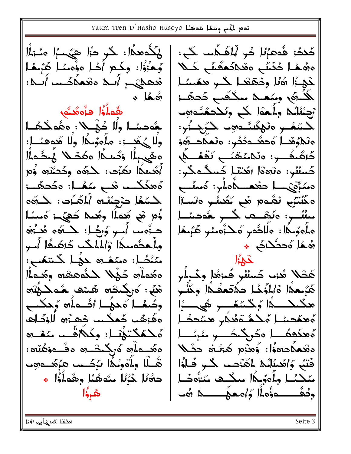لَكُمْعَدًا: كُرِ دَٰا هِيَْبُ! هَـٰٓنَلًا<br>وَحَنُوٰٗا: وِكَـٰع اُكُـا هؤْهِنُـا كَبُنْـهَا كَحْدُ: فُومَبُنُا مُر ٱلْمَكَّاس كُل: ەھُمُّا خُنْسُ ەھْلاَكْعَفْسُ كَـْلا هُدهكيْبِ أَسكَ هُدْهَكَسَبِ أَسكَ: خْدْءُا هُلا وحْقْعْدا حْبْ مْمْسْل للأئى وسّمك سلكف حُدهُــ;  $\bullet$   $\downarrow$   $\bullet$   $\circ$ هُملُوُٚا هزُّەمَّىْم تْرَجْئُلْنُكُمْ وِلْمَوْا كُلّْ وِكُلْحَكْنُوهِ لْكَتَنْفُسِ وَلَوْكُنْسُووِفْ كَتَرْبِيْ زُوِ: هُوصِيُــا وِلَا حُنْيَــــــــلا : وهُوحُــُهُــا وِلَا يُكْتِ: مِلْمَوْمِكَا وِلَا مُدْهِمَا: ەلْكُوْھْــا ەُھھْــەكْتُو: ەلْعْكَاھــەدَە أَلْمَكُمْ الْكَمْهِ الْمُسْدَلَا ۖ وَمَكْتُمْ الْمُحَمَّدُ كَاكُمْكُسْبِ: ەلْكَمْتَمْشُسْمِ نُقْصُلُهِ أَهْمِلُهُ الْمُزْتِ: ﴿ وَحَصَّلُهُ وَمَا وَمَا وَلَا يَوْمِ كَىسْلُو: دْنْدْدَا امْتْقَا كَىنْگُدْكُو: مَنْبُوْيٌ لِ حَقْدَ حَقَّدَ مِنْ مَسْلَمِ لضمُعُلُم حَرْجِنْدُهِ أَلْمَكَوْتَ: لَحْدَهُه ەڭتېپ تۇھەر شى ئۇدىئىر ەتىسال مِشْر: ەلھْم كْر هُەدىئا ؤُمْ هُمْ هُدَاًا وِهُدِهْ كُنْ وَيُ وَمِنْدًا ەلمۇمگا: ەللېئەر كىڭمىلىر كېگىل حَذُّهما أُسِرٍ وُرَجُلًا: ﴿ صَلَّاهِ هُــُرُّه اھُمُ أَحَثَكْتُمْ ﴾ وِلْمِثْمِسْلًا وْالْمَكْتْ كَاكْتْفَا أُسْر عَنْصًا: مَمَّقَّه حَيْمًا كَتْتَعَبِّ: وَهُدارُه كَمْلاً لِحَدُّدَهُهُ وَهُداً كَتْݣَا هُٰذِ ۖ كَسُلُو قُـٰذِهُا وِكُـٰبِلُو هْلُم: كَارِبْكْسْدْه هَىتْكَ هُـهْكُمْلُوْه كَبْسِكًا وْالْمُخْلِ حِكْتَمِعُكُا وِخْتُبِ هككسكًا وَكَسَمَ و هُي أ وصُعُـا هَٰدهُـا ٱشْـعلَٰ۞ وُحكُـب هُمهُحسُا مُحْشَنْهُدُ مِسْحِصًا ەكزىگ كەڭس ئىھنى للۈكلى هَكْمُكْتَمُرْسًا: وِكَلَاقُب مَّقْدُهِ ەھكھۇسىل ەڭرېڭىشىس مەرئىسل ەھَـــەلمە كَىرگىشـــە ەڤــەۋھُتە: ەقىمكەدەۋا: ۆمىزەر كىزلىز جىگىلا تُمِــلًا وِلَمْوِيُـدًا بَرَكَـــب هِزُهُـــوهِـب قْتُمْ وَاهُمْلَكُمْ لَمَّتْصِبْ كُبِّ قَبَلُوْا محكسا وأوؤيدا سكبف محثودها دەُلا خْزُلا مەھدا وھەلمۇل ھ ودُڤُـــــــــهوُّه\$ أَدْهِــهمْــــــــــــمْ رُهَٰت **ئگرؤا** 

تَعَلَّمُ السَّمَاءُ السَّمَّاءُ السَّمَّاءُ السَّمَّاءُ السَّمَّاءُ السَّمَّاءُ السَّمَّاءُ السَّمَ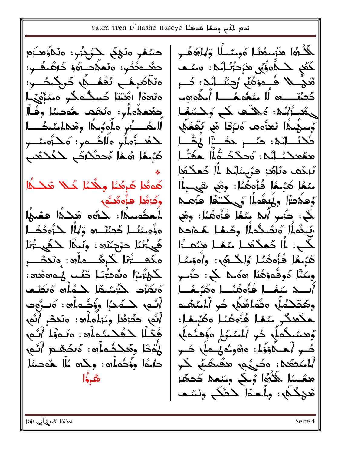هسَّكُو وَلَكِيٌّ كَرَكْبُو: وَلَكَوُّهَـٰهُم حَقَّــەدُدُو: ەلْعَكَادْــەُوْ خَاكْمَدُــو: ەللاكېگى ئقگىگە كېڭىگىپ: ەتەۋا ائتتا كىىگمگى مىئۇيل حِثْعَمَاهِ أَبِنَ وَنُشَفَ هُوَدِمُا وِقَالَ للمُــــزُبِ مِلَوَدُكُمْ وِتَعْمَلْمَمْشَـــلِ َكْتُخْسَأُهِ لَمْ وَالْأَسْبَوءِ: كَكَنُّومُنْسِر كَبْسُهُا هُـمُا هُحثَكْلِكَم لْمُخْكَسَمِ كَمِمُوا كَبِمُهُا وِلْمُسْا لَحِلا شَكَلَهُا وحُزمُا فِرُّەمُّىُّە ِ أَحدُّمبِهَا: لِحَمَّهِ مَحْكَمَا فَصَّنَهَا ەۋەمئىُــا كَحْسْــە وْالْمَا لْــأەكْــا هَيْ زُنُمُ الْمَنْعِ : مِنْدَأَ لِحَكَمِي زُنَا ەكھىسۇل كېڭىسملە: مەندىسې لْكَمْتُوْمَ الْمَحْتُوْصَا كَتُبْ لِمُحْمَدُهِ : كَانِكْتُوبْ حَدَّمْتُمْهَا حَدَمَاهِ كَانَكْتَبْ أَنَّــْمِ ۖ كَــَمَـٰدُ¦ وَذُـَـّـٰٰءَاْ۞ : ٥َسَوَّوْت أَلَّهِ حَكْرْهُا وِمُزْلَمَاهَ: هَدْهُمْ أَلَّهُ هُذَاْلَ لِكُكْسُمَاهُ: مَنُمْنُوْا أَنُمِ بِقَدًا وَهَٰذُذُهَ أَنْ وَيَكُنَّهُمْ أَنَّفَ دَامُهُ | وَذُهَمَاهِ: وكُلُّه مُمَّا هُهَدَمُا ۿڔۏٚٳ

لْمَدُّهُا هَٰڹمعُنُا هُومِنُملًا وْٱلمُهَكِّ كَفَعِ كَــدُهُ وَكَيْ هَدَمَ الْكُمْ: همّــم هْدِيْسِ لا هُــدْوَهُّلُ رُجِئْكِسْلَمْدْ: كَـــر كَتْشْتْ (الْمُعْمَمْتْ) أَيْدُهُ بِ لَمُسْتُمْ مِنْ سَلَاهَ : مَالَكَ مِنْ الْمَنْانُسْفَرِ وَسهُبِكَا تَعزُّوها وَيَرْدَا هُو يُقِعُكَهِ كُنْــابُـه: حَـــــرِ حَكُــــٰـٰٓ;ا لَحَقْـــا همُعلاً أَلَمْ: هُدِكْذُ أُلَمْ هَيْ ا لَاحْم دَلَاهُ: هزَّبِمُلْکُمْ لَمَا کَعِنْکُمْ مَعْلَمٌ هُبُعْلَمْ فُزُّهِ هُمَا: وَهُمْ هَيْ إِلَا أَوُهِكُمْتَرَا وِيَعَفُّمَاً فَيَحْتَدْهَا هَزَهِكُمْ لَّحْ: حَزْمِهِ أَبِيا مَعْمًا فُزُّهِهُمْاً: وقْع |بِبَحْمَلَا هَىشَىكُماْل وِصُعْلِ هَـهْرَهـ كُبِ: أَلَّ كَمِكْمُدا سَمُدا مِنَهِ أَل كَبُطْ فُزُّدْهُمْا وَالْحُشَىٰ: وَأَدْفِمُا |وِمَنْنَا هُوِفُودُهُمُا (50هـ كُل: جُنِب أسبط منفسا فأهفئها وكبرهم وهَقَّكْمَلُو ەَقْمَاھُكُو صُو ٱلْمُمَّعُد مكعكر مَمْا فُزُّەكْمَا ەكْبْسُا: أَوُهِنَنَّكُمْ لَا أَمْلَمْنَهُمْ وَوُهِنَّمْلَا وَأَوْهَدُهُمْ كَــِرِ ٱلْعَــكَاوَٰؤُلُمْ: ۞۞وِشُولُــمَلَىٰ كُـــرِ لْمُمْحَكَّدْ: ەكْرِيْمَ، ھڤىشَمَّى لْكُر همَسْلا لِمَذْهَا وُلِّي وسَمْعَهُ كَحْمَةٍ: شَهْكُمُ: وِلَمَمْا حَثَكَ وَتَسَمَّ

تَعَلَّمُ السَّمَاءُ السَّمَّاءُ السَّمَّاءُ السَّمَّاءُ السَّمَّاءُ السَّمَّاءُ السَّمَّاءُ السَّمَ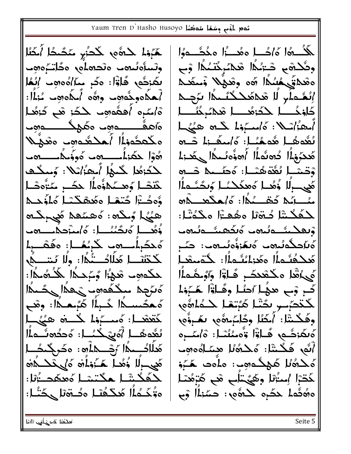Yaum Tren D Hasho Husoyo مُعَمَّدًا مُعَمَّمًا Yaum Tren D Hasho Husoyo

ِّمَّزُوْءَ كُلُّهُمْ كُلُّرَ مُكْتَكَّةً أَيْضُلُّ وثىيأەلىھە ەتحەملەر ەڭاتىرەھە لْكُرْخُو، قُارْ ا: وَكُرْ مِنَا) وُومِ إِنْعُا أهكووجدهو وهو أحكوهما منك ەُمْمُرِه أَهِقُومِ حَكَّرَ هُم كَرْهُمَا مَكْعَثُوْفُمْ أَحْكَمُوهِ وَتَعَيَّلُا لِكَبْهُا كُلُّهَا أَلْمِثَابُكَلا: وَسِكْف ِ كَنْصْلِ وَهِــَـٰكِمْؤُهِ الْمَكْــرِ ۖ مَنْزُهِ صْل ؤەكتْزَا كَتْمْا ەھْھْكْتْا دْاؤْجْكَ هگېرىكە كەشقەت نەگ ئايرىگە ۈھْـــا ەَىڭنْـــا: ەْمْتْحەْــــەت كَحْتَشَــا مَحْلَاحُـــتْكُا: وَلَا تَسْــكَى || حكَّموت شَجْزًا وُجَهْدُا كَلَاهُ جَاءَ. الأسڤى المُعرَض وهِ مَكْسه لمَجَهْمَ | هُ هَكَسِيدًا جُبِيلًا هُبُعِيدًا: وقب لْمَعْتَقِدًا: هُمْسَبُوْلُمْ لَكُسْرَةً هُنُيُّ ا لَفْدهُـــا أُهْرِكُــُــا: هَحكُمْــدَاْ | هَٰذَاكُـــمَدَٰا ۖ مَ-ٓـحَــدَاه : ۖ مَحَـجِـكُـكَـــأ كَتْكِيْرِكْ هَٰذُهُ مَا بِمَنْ الْمِرْكَةَ مِنْ مَا بِمِيْكَمْ لحَفَكُتْمَا حَكْتَبْسَا هُمْهُدَّرْْلَل: ەۋكىگا قىقىھا مەتقىقاتلاش

لَكُسْدُهُ أَدُاحُسَا وَهُسُدًا وَخُشُّـوُا وثَكْـرُه ج حْــٰزْبُكُمْلْ هْكَـٰبِكْتْـبُكُلْ وْب وثعلقي مُسْلَمَ أَمْنَ وَشَيْئًا وَسَفَعَظَ إِنُعْـٰملُہٖ لَا شَدْکُعْـٰـدُگْـُـٰـدِّا بَرْجِــد كَافِكُمْ الْكُرْهُمْ أَهْلَائِكُمْ الْمَا أسطن مك لمغ تصاد : كاسترفط من المستقامة يُعْدِمُهِ لَهُ دَهُمُهُ أَنَّ أَمْ مَدَّدٌ فَـ مِنْ هُدِكُمْ إِلَٰهُ الْمَاهَ أَوْهَاهُ الْمَالِمَةِ وَالْمَاجِمَةُ وْصْبْمِا بُغْدْهْيْما: ەْجِئْسِي چْرە كَعِيبِ الْمُؤْهَبِ وَهَدَهُمْ وَالْمُسْمَعُ وَالْمُسَاءَ الْمُؤْسَنَةِ وَالْمُسَاءَ الْمُؤْسَنَةِ و مِكْسِيْكُمْ خَتْفَ مُكْلًا: كَامِكْعْسِيْمُ لِكُفِّكْشَا حُتْوَتَا مِعْجَشَا مِكْمُثْل: وتعطيئه مليوما كالكهيئة مليوما ەُلاھىگەندەت ەتقاۋەئىلەت: ھىر | مُمكرىلَمسوت كَرْبُعُمْساز: ەھَھْسرىلا مُحْكُفُواْ مَعْزَلْمُنُواْ: حُتَّمِيقَط أَىٰ اتَّعَا مَكْتَعْدَبَ قَاوَّاً وَآوُحَقُّمَاً! كَبِ وْبِ هِجُا اَحِبُا وِقَاةًا هَبْذَا كُنْدَسٍ بِدَّنْهِ مَّتِسْهِ كَمُلَّهُم |وكَحْشَا: أَمَطُلْ وِحُامَ مِثْيَى لَمَ وَقَيْ |ەلگەنچە گەلۋا ۋەمئىنىدا: ۋاممُــرە أَنُّه كَكُنْتًا: هُكْمُوُلُمْ هِمَّاهُ وَهِ كَمْدَهُمُا هُمْحُدُهُ : مَاهَد هُبُوْ كَحْرًا إِسْتُرْلَا وِهَيْتِنَابِ هُبِ كَتِرْهُمْا هَ هُدًا حَضَّره لَحْدَهُ و : حَسَّنَا أَوْمِ

تَعَلَّمُ الْمُسْتَمَامَةِ الْمُسْتَمَامَةِ الْمُسْتَمَامَةِ الْمُسْتَمَامَةِ الْمُسْتَمَامَةِ الْمُسْتَمَامَة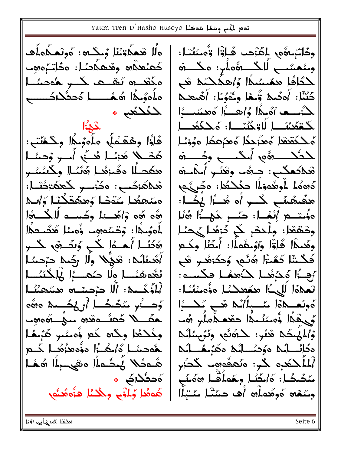وِكَاتَبِيهُمِ لِمَنْوَى هَاوَّا وُمِئْنُدا: ەلل شھكاۋنىْل ۇيگىي : كَوْتْصْكُاهلَافْ ومُعْمَىٰبِ لَلْكُلِّيْتُوهُمْ بِنَ مَكْلَّةٍ كَعِنْعِدْوه وقَعِجَدْمَا: ەكَاتْبَاە م ەڭقىس ئۇسىم كىلىر مۇھىئا لِكَتَافًا هِمُسْتَيْئًا وَاهِدَكْتُمْ شَي ەلمەركىلا ھىمسىسا ەدىئىلەكسىپ كَنْنْا: أُهضُمْ قُبْهَا وِغْوُبْا: أُكُبْعِيْمْ لِكَبْسِيهِ أَدْمَلُوا وُاهِسُوا دُهِيمَيِسُوا لمنككم \* كَمْعَكْنْكَ لَا تَحْتُسْكَ: هَكْكُفْكُ  $\mathbf{f}$ ەَ كَتَعْقَدْ مَعْبَدْدُ مَعْبَعِمًا مَوُوْسًا قُاؤًا وِعْفَمُلُم مِلَمَوْمِكًا وِكَحُنَّبٍ: لمكُمْلِ وَهُمْ أَمْكَسَبِ وِحُسَّــةٍ كُصْـــلا هُـْـنُــا هُــنَى أُســو وْحسُــا تَعْلَاكُمْكُبِ: هِـرَەُب وِتْنُنُـرٍ أَنْذُنَـرَة هكَحـلًا هفُـزمُنـا هَنُـُـاا وكُنُـُـبْ هُوهُما لِمُوهَوْماً حِكْكُمَا: وَكَبِيَّهِم هْدْهُنْدُب: ەكْنْسىر ݣْحْعْدَتْشَا: ممْعِعُدا مَتَّمْدا وُهِهَتَكْتَا وَابِيهِ هَقَمَقَسَــ كُـــرٍ أَه هُـــزًا لَهِصُــا: هُه هُه وْأَهْلَ: وَكَسِلْهِ لَالْمُسْلَمُ وَوْمِسْــو إِنْـمْــا: حَمْـــرِ حْمِـــزًا وْݣَالْ لَمَوۡمِكَا : وۡصَّدُوب وَّٰٯَمَا ۖ مَٰحُمحکَا ۖ ودْنفْعْلا: والْمَدْمِ كُلِّ كَرْهُا يُحِبُا ھُکُلا اُھےٗاِ کُے وَنَکَسِ کُــر ومَّدِمَّا قَاوَّا وَآوُحِقُوماًا: أَحَطُّا وحَكَّ أَهٌ مُلَّكُمْ: شَيْمًا وِلَا رَجُما حَبْحِسًا َفَكُنْنَا كَعُنْزَا هُنُمٍ وَحَكْزَهُمٍ مْع لَعْدَهُـُـــا ولَا حَكَمـــرُا لِلْكُنُـــا أجِبُزُا مَدَهُدا حَزَمِهَا حَكْسِد: أَلَمَوْكُــمِـدْ: أَلَلْ حرْحِمْــهِ مِنْمُعِمُنُــلِ تَعِيْدَا لَلِيةُ! مِعْمَدْسًا هِؤُهِيْنُنَا: دُوتَهِكُمْ مَنْ بِذَٰلَهُمْ شَبِ يَكْتُرُ وُحِـــزُن مَمْحُنكُــا أَرِيْكُـــنَدْ هَوْهِ هَكَـــالا كَعْشَــهْ هُدَه مِيخَـــوَهُ مِينَ وَى هَكَا وَّەملُسكَا حَقْدَهُ مِنَّالْمَصْرِيَّ وخُلْحُلُ وِكْلَا مُكْمَّ وُْمِئْسٍ كَبُرْهُا. وْالْمُلْمَكُمْ هْلُو: حَدْهُكُو وَنُوْسِئْلُمْ هَ صِمُالٍ وَالْمُدُرَٰا وَوَّوْهِ وَالْمُعَالِمَ حَمْدِهِ ەڭائىلىگە دۇھئىسلىگە دەڭبەھسىلىگ لَّــمَاهُ لَمَــتُــمالَ مَـــْمِـــالِمَا هُـمَــلِ لْمُلَكْتُدِهِ لَكُن: هَنُعَفُّوهِ لَكْتُنُنِ مَكْتُخُط: هُ/مَثَلًا وِهُمَلَقًا هُمَنَّع  $\rightarrow$  وَحثُكْلاَكُم ﴾  $\sim$ كَمَمُدا وُلْمُو وِلْمُدَا فِزْهَمُدْمَ وَسَعْدَهُ هُوَهَٰدَاهُ أَهْلَ حَسَنَنَا سَنَّبَا

تَعَلَّمُ الْمَسْتَمَامَ الْمُحْكَمَةِ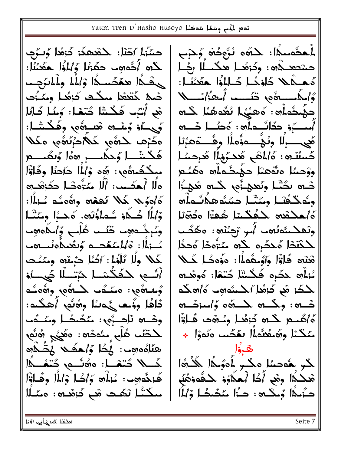حمَّنُا ٱخْتَا: ﴿ هُدَهَكَ: كَنْهَا وَبَـرَى لِكُلُّهِ أُخُذُوبَ حَكَّمْنُا وَٱلْمَوْا حَكَمْنُا: حجالماه لملاع المسخف المقرر ضم كَقفا مكْف كَرْهُا وِمُدُو هْمِ أَتَبْ هَكْتْنَا حُتْهَا: وُسُا كُلُنَا َيْ أَوْ بُسْبَهِ شَبِيهُمِ ۚ وَفَكُنْتُ الْمَجْمَعِينَ وَالْمُسَلَّمَةِ ۖ وَالْمُسَلَّمَةِ ۖ وَالْ هَجْمِ لِمَدَّى كَلاَكْتَرْتُمُّى مَكَلاً كَكْتْسَا وُحِكْسِبِ 16% وُبِكْسِـــم مَمْكُكُمْهُمْ: هُو وْݣَمْلْا حَاجْعًا وْݣَاوّْا ولَا أَحكَــب: أَلَا مَنْزُودًـا حَكَرْهَـــرَه كَاكَرَىلا كَلا نَعْقَرْهِ وَرَثَّقَ شَنَالًا: وْ}اً كُـكُو شُـ2اوُنُ‰. كَحــُ} ومَنْسًا وَمُرِيْـُـدِهِ فَلَـدٍ هُلُبٍ وُامِدُدِهِ ۖ ئزلماً: ةالمتمكت وَتَعْدِدُه لَكَ عَلَيْهِ كَمِلًا ۚ وَلَا تُلَوَّٰٓءُ: ٱكْنُا حَبَّىتُهِ ۚ وَمَنْتَ أَنَّــمِ حَكَثَمْــا حَبَّــلًا كَهــأَهُ وُسِيۋُە : ەسْيُە كَلْمَيْنَ وَقُوشُو ثَاقُا وِذُمِهِ يُحِصُلُ وَهُنُّهِ أَهْلَكُمْ : وڭىدە (اھەرە: مَكْمَكْ) ومَمْــُەب رَفْاهُ صَلَّى مِنْدَدُهِ: مَكْنُ صَنَّصَلَ هَنُاهُ٥٥هِـد: إِخُطْ وَاهِقُـدْ إِخْشَاهُ كَمِلًا مُتَمَمًّا: هُوُئُمْ وَمُتَمَّمُوا كَزِيدُهِ : يُزْلَهِ وَإِجْلَا وَإِلَمَا وَكَبَارَ مكْتُا نْݣُد شْ كْرْشْلْ مْمْلَّا

لْمَثَّدَمِيكَا: كَثَمَه نُزُّوجُه كِبْبَ حىتحمىكُلُهِ: وَحُرْهُما هكْمِـلًا رَجُّـا هُ هِــدُلا لا حَاذِكُــل كَــالمُوْلِ هِعَدْنُــل: وُمْكُمْـــــوْهِ وَتَمَــــب أَحْدُمُ الْمَـــلا صگ اَنْتُمْتُمْ اَلْمُدْهَمْ وَحَمَّىٰ الْمُحَمَّدُ مِنْ الْمَدْرَةِ مِنْ أُمسبَّوْ هِدَّانٌـــه أَرَه : إِهْجَنَـــا حْــــرَه كَعِيصِصِيراً وَتُؤْسَدُوْهَا وَقَسْتَحَمَّرْنَا كَسْلَاهِ: هُ/اصْحِ هُدَوْداًا هُرجِسًا ووْحِسًا وتَّەھْلا جۇمشەملە وڭسُم حْـهِ بِكَتْبًا وَبُعِدِيُّهِ، كَـهِ مْدِيَّا ونُمكُفُلُّ ومَنْنَا حِمَّدُهِكُلُّمَاهِ كالمحتجم حككتنا هفثا ودققا وِلْعَلْمِنُدُلُهُمَا أُمِنٍ ۚ وَجِئْلُهُ: ۚ هَكُمُتَ لِكَتْتَا مُحَكِّرِه كَلَّهِ عَتْرُهِ قَا مُحكِّل هْنُه قَاوَّا وَآوُحْمَداًا: هَؤُهدًا خَــلا مُزْلُم حَكُرِهِ كَكُنْتُلْ كُنْݣُلْ: كُوهْدِهِ لَكُمْ هُو كُرْهُا ٱلْمُسْوَوِبِ وَاهِكُمْ ئے : ولگ ته لمستمی وُاست شده َهُ/مُـــع كَـــه كَـٰهُــا ويُـــهُت فَــاةُا مَكْتَا وَهُمُعُثَمَاً بِمَكْبٍ وَنُورًا ﴾ **ئگرۇل** لْحُرِ هُوَصِمُلِ وَحُـٰرٍ لَمُوَرَّحُلًا لَحُدُّوُا مْكَــٰكَا وَمْعِ أَحَا أَـعَـٰكَوُوْ ـكَــُفُووْمُهُـ حِبْداً وُحِكْمٍ : حِبَّا مَحْمَحُـا وْالْمَا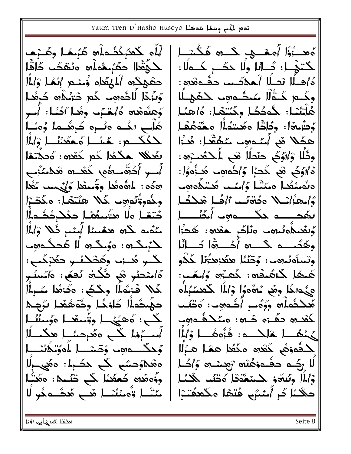Yaum Tren D Hasho Husoyo مُعَمَّدًا مُعَمَّمًا Yaum Tren D Hasho Husoyo

ُلۡلُہ كُعۡبُكُشُـٰماۡہ مَّبۡمُـٰا وِكَــٰۭٓٓٓڡ لْحَجَّقْدَا حَكَبُـمُهَلُّه مَنْقَضَـ كَاقَا حقبيكه ألمكواه ومشع الما والمأ وُنَزَٰدًا لَاخُوهِٮ كَم دْتَنْكُلُه كَرِهُـا وَهِنَّدْهُدَهُ ۚ ذُٰا حَبَّى ۖ وَهُٰـا ٱخُـُـا: ۖ ٱسو كُلِّبِ آخُــه ەنُــرِه كَرِهُــه! وُهـُــا لْمَكْلُمُ مِنْ هُمُمُ أَمْهَكُمُ الْمُؤْمَنُ الْمُؤْمَنُ تَعْتَلَا حَكْمُا خَمْ خَتْدَهِ: وَحَكْتَمْا أُسو أُحُثُّه سوُّى كَتْعَد هُدْمَنُّوْب 1000 : مادةُ٥٥ وتُومِنْهَا وَإِيْمِيمِ مَمْلًا وحْدُووْنُدەپ كْمْلْا ھِتْتْھْلْ: دْكْتْرْا كَتْعْبَلْ وَلَا مِتَرْجِعْتْبَلْ حَكَكْرِكْدُومَا مَدَّمه كَلُّه همَّمْمُا أُمَّىهِ ثَلا وَٱلْمَا لْمُبْلَّمَةِ: ەَوُلْمَدَّةُ لَا مُحِكَّدُهَ لْحُسِ هُـــ;ٮ وِكَحْـُــُــُــُ حَكَّـٰٓبِكُــبِ : | ەُمشتىگو شې ئىگىز ئىقى: ەگىسلىر كَلًّا قَزِئَهَ أَلِم وَكُدٍّ: هَدَّهُمْ مَمْبِلَهِ حكُبحُماً كَافِحُا وِحُفْعُعْدا بِرَجِيمَ لَكُب: هُهْنُهُما وِتُسْعْما هُوَسْلُمْمَا أمسَبَّوْط كُلّ هَ وَهُوصسًا هكســلًا | وُحكَــــــموت وْصّْمَـــــــل لَمُوْتِــكُلُمْـــــل ەقىلۇچىئىي كى بىضېك: ەكىسىرال وِؤُوهُدُه كَعفَعُمُ لَكُم تَشَعِدُ: وَهَنَّا مَنْنْـا وْْمِمْنُنْــا مْبِ مَٰحْـُــمِكُو لَا

هُهِــأَوْاً أُهِمْـــي كَـــهِ فَكُتِبَـا كُتّْهَـا: كُــالًا وِلَا حَكَــرٍ كَــولًا: هُ اهللَا تَصِلًا أَهْلِكُسَ حَقَّـوَهُدِهِ : وكَــع كَــتُّالُ مُنْكُّدُهِ بِــدَّمْهِــلَلا هْلْتْنْدَا: ݣُوحُحُـا وكَنْتْعْا: وْاهْـا وَحَبَّـدَهَا: وكُلّْخُلّْ هِ مَحْتَـٰهُ الْمَعْهَجُهُــلَّا هِجُلا هُمْ أَسْدَهِ سَعْقُقُدا: هُـُزَا . وِثُلًا وْارُوَّكُ حِنْطًا مْعِ لِمُكْتَمِيْرَهِ : |ةَاآوُكُمْ هُمْ خُصَرًا وَاحْدُوهِ وَالْمُؤَاءِ وتُومِئْعُما وَمِئْتَارٌ وُٱِمِيْتِ مُحْتَلِكُوهِت وُامِعْزُاتِيْلا وَدُوْنَبِ ٱاصْلِ هَكْسًا بغجسه حكسهوب أكثيا وَتَعْمَدُهُ مُحَمًّا وَتُلَكَّبِ حَقْدَهِ : هَٰحَةُ وهَكَسِيهِ حَمْلِهِ أَجْسَاثُوا كَسَاتْلَ وتَسأَدتُهم، وَخَتَمًا مِتَعَنِهِمَ الْمَدَامِنَ وَلَى الْمَدَامِ |مَعْمَا لَارْمُعْدُهِ: لَمَعْوْهِ وُالْعَبْ: 0 مَجْدَمَةً وَهُوَ مُتَأْوَوُا وَ} مَمَّا كَلْعَمَدُوا وَ كَعْكُمْلُمْ وَوُمُبِ أَشُمْهِمْ: هُطّْفُ كَقْدِهِ حَقَّةِهِ شَدَّهِ: مَمَّلَّكُمُوهِ بَامُعًا هَلِكَــهِ: هُزُهِهُمْ الْمُهْلِمَ لحفَّوهُم كَثَلاه مكَعُلا همْا هـرُلا لَّا رِجِّــه حَفْــهوَهُنَّـه رُهِــْنَــه وَاجْــا وْكُمْلًا وِنُعِمَوْ حَسْمَةَ دَا وَقْتَكَ حَكْسًا ] حكْـُـٰا كَـٰ أُسُبًى فُتَـٰهَا مكْعفَـٰـْـَ الْمَـٰ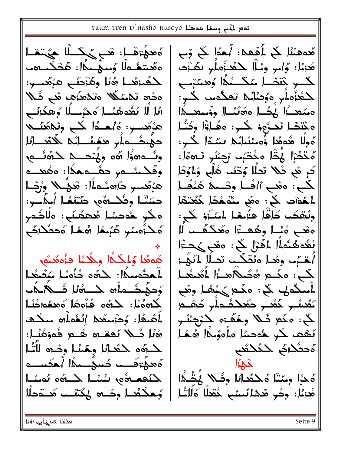المترثم المتحركي بأختنهمه ەھَتْتَمُّەلَّا وَمِيْمِّىمَاْ: كَتْݣْسُون َكَـقُـزَهُــا هُلَا وِكَنْحَـَـٰ عَزْهَـٰــبِ: ەڭھ  $i$ ىكىگلا ەلىكىنجە شى ئىلا اِبُلِ لَا يُغْمِيْهُمْمَا مُحَبِّسَلًا وُهِكْزَيْبِ هُزِهُدسِ: ٥/هـهُ/ كُب وِلْلاَهُكُ حكْمحُـــملَـــوهُمُـــــامُّــه لَلْكُــــامُّا وئَـــدهُوَٰا هُ٥ وِيَـٰتِـــدِ لِــدهُنَــمِ وفَكْشُــْمِ حَفَّـِـمْعَمَاً!: ەكْعْــَـە هزُهُمبر حَارَه شَـهاَ!: هَـهُـــا ورُجْــا حمَّنْـا وِثْدْهُى حَنَّتُمُـا أَـكُتِب: ەڭر ھەھئىل ھُھگىئى: ەلاھُەر ەَ دَزْەمْبِر كَبُرْهُا رُەھْل ەَحثَلانَى كَمِمُا وَلِمُحُمَّا وِللَّمَا هِزُومَُحْمَى لْمِثَمِيجًا: ۞مَنْ جُزْمَهُا مَثَمَعُهُ وُحكُمتُـــه أَنْ حَـــدُّهُ لَمْ كَلَّكُمْ حَدَّمَ لَّدُهُمُا: لِحَمَّه فُزُّهِكُمْ هُمْعَوَاحُ*نُ*ا لْمُمْعَا: وَحَزْمِيعُهِمْ الْعُوْلُمِ مِيكُتْ هُمُل شَــلا نَعمْــه هُــع فُوهُنُــل: لمستَهو لمكْمَلُل وهُمُل وصْده للْثُل ەُھۈتگىپ كىنۇسىما آھكىسە لْمُعْصَّدُهُ مِنْسَلِ لِحَسَّهُ مَعْسَلِ | وُهكْتُما وصْـِرَ لِمُتَمَـٰٮ تَمْـٰوَطَا

هُدهسُل کُم اُهْهِ؟: أَحدُا کُم وَب هُذِمًا: وَ}مر ومُـالَّا حَـهُدَّوْهاً و نَعْـآت لْكُسِ بِتَنْصَّا مَكْشَمَا وَهِمْرْسٍ َ لِكُلُّوَٰهِ لَٰهُ وَوَصَلَّكُمْ ۖ تَعَلَّكُمَ ۖ لَكُـبٍ : دَمَعْتُمْ إِيضًا وَهُنَّسَالَ وِوْسِعِيْدَا ەبْتْصْا تْحْزُوفْ حْبْنْ ەڤْلَوْٓا وِكْتُلْ َّەولَا ھُەھُا وُّەمْنُىللَّى لىنىۋا لْحُــو: َهَنْكُمْ! كَذَّا مِكْتَبُ ۚ رَحِىْٰبِ نَـهِءَا: كَرِ هُي شَلا تَطْلَا وُتْتَكَ هَٰلَى وَلَمُوْتَلَ كُب: هڤبِ ٱاصُّا وشَــْه كَنُصَّا لمَمْات كَبِ: هڤي مثَّفَهُدَا كَقُتَتْمَا وِنُقِكَبِ كَاقًا هِتَنِيهَا لِمَيَّزَوْ لَكَيْ: هِ مَا وَهُدْ أَوْ مَعَنَّكُ الْمُسَلَّمَاتِ لَل لَتُحَرِّرُ بِـهُ٥ : ݣُ لِكُمْ لَمْ الْمَشْهُمَةُ أَحْبَ وهُـا هنُقَكَّــٰ تَصَلَا لِمَنْهُـٰ; كُم: مِكُمْ هُصُلاً هِـزُا لَمُعْصُل أسكوك كخاء ومُكم بِكَمْ مِنْعَا وَهْب كَعُسُــب كَعُنــب حَعُنْــدَشَــملَـب كَــمْـــع لَّٰى: ەكَمْ ثَـْلا وِهُكَّـ;ە لِـْـْرْجِمُنُــْب لَثْقَفَ لَكُو هُوَهِمًا وَأُوَوُلُمَا وَهُمَا |ەدئىلاكى لىلىلىگىنىم  $\hat{K}$ َهَدُا مِمَنْا هَكْعَالًا وِثَـلاً يَتُـٰكًا هُدْمًا: وِحُرِ هَٰدَا ُنُسُّبِ خُقْلًا وَلَأَ مُلَ Seite 9

الماأأ محفأتهم الفكض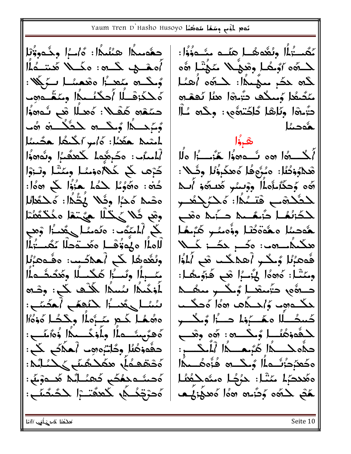حِعْدَمِيكَا هِنُمُكَا: وُاسْرًا وِخُدوقُهِا أهمشن للده: هكسلا تُعتشهُ ۇيكى مىھار ەھمىسا بەيگلا : كَلْحُدُوْكُمْ أَحِكْنُـمِدًا وِمَغْـوِهِ حَسَّمُه هُفْلاً: هُمْلًا هُم نُـُهُوْاً وۡبَہۡــٰٰہٗا وُلَّــہٖ حَثَکُــۃ ہُ۔ لمتمط حَعَنُا: هَاسِ ٱلْحُمَا حَصَّمَا آلمىدًا : 5 مَ هُجِما لِمَكْتَحَمَرُ الْمِرْدَةُ الْمَرْدَةُ كَبْعَدْ لَمْ كَلاَهُ وَمَعْدَ وَسَنْدًا وَلَـٰزَوْا حُنْهِ: وَهُوُمُا كَمُهُ هُزُوا كَبِي وَهُ!: هضَمْ هَٰذَا وِثَلا يُضُمُّا: هَٰذَهُلاً: وثع كَلا يُحتَمِّلُهُ الْمُكَرِّ مُكَّ هُمْ وَقَوْمٍ بِكَمْ إِنَّمَٰهُمْ لَمُمْهَا: «مَثَّبَامًا ۚ وَهَبَ الْمَالِ مِهْوَوْهَا مِعْصَوْطًا عَمْصَوْلًا وِنُغُّدِهُا ۚ ﴾ [ُهِدۡكَـب : دَفَّـدِدَ}ِنُا مُسْبِلًا وِنُسُزًا كَكْسِلًا وِهُثَمِثُـهِلًا لَمُوَحَدُهُا سُمْلًا لَكُنْ لَكِ: وِصْه :بِمَمْمَعْ بِمُعَلَّمَ انْسَعْرِ السُنْد دهُهُا كُعِرِ مُجْهَدًا وِكْحُا دُوْهُ! َهُٯْرُمِيشُــه اُلْمِ وَالُوَجَــُـــداً الْوَاهَ الْمَـــبِ : حَفُّوهُمُل وِكَاتَبُوهِ ۖ أَحَكَمَ ۖ لَكَ : ەشقىمىڭ ھەكمۇمىكى كەنگە: ەُدىشەدگكى كَھسُلگە ھُـەۋىلُ: َهُدْتِكُمْ كَعَفَتْ إِحْكَمَّمَـٰ :

َكُمْتُوْلًا وِنُغُوهُما ه*نُ*د مشْدُوْوُا: لِحِيَّةَهُ آوُحُمَا وِتَعِهْدُ حَكِيْتًا هُهَ كَه حَصٍّ سَهْمَاً: ﴿ هُمَ أَهْدًا مَكْتُلَا وَسَكُفَ تَبْتُوا هِنَا نَفْقُوه حَبْنُوا وِنَاهَا كَاكْتُوْهِ: وِكْلُو عُلَّا حدثما **ئگرؤا** أَكْسُدُ الْمُحَمَّدُ الْمُؤَمَّدُ الْمُؤَسَّرُ هَٰدُوۡوَٰكُنُا: ۚ دُـُوۡوَٰهُا ۖ وَهَدُوۡوُۡلَا ۖ وِشَـٰلا : ِهُه وُحكَّاماً ووْسْبُو هُنتُوْ أَنتَ لحثُلُثُوبِ قُتَــُكُمُا: كَكَرَبْكُسْـر لحَكَّرْتُعُمَّا حَزْمَعُمَّمَا حَسَّرْمَا وَهُبَ هَ صَمْلَ مِثْدَدْتُهُمْ وَذُهِ مُبْسِرٍ كَبُرِهُمْ الْمُسْتَفَرِّدُ هكْمُده : هَدْ حَصَّة كَمْلا فَوْمَزُلًا وُحْكِرٍ أَهْلَكُتْ هُجْ أَعْلَازًا وِمَنْنَا: هَيْهُمْ لِيُرْسُرُ هُدٍ كَرُوْمِيْهَا: دەۋە دۇمقىل ۋىڭ بو مىگىد بمكتومة والمسكف ودوا وصكية كَسكُــأَا ممْـــرِّوْءُ هـــزًا وُلكــــر لْحَفُّوهُنُــا وُلْمُــــــهِ: وُهِ وِثْنَــــحِ حفْهِكِمَا هَبْعِكُمَا أَلْمَكَبِ: ەكھزّىتُرىدا ۋىگىر ھُزُەھىمكَا ەھَددَىل مَنْسًا: حرُجُـا ەمئەھىدەدل كَمْتِي كَلِمَهِ وَحَبَّدِهِ هِمَا هُمْكِنِيْكَ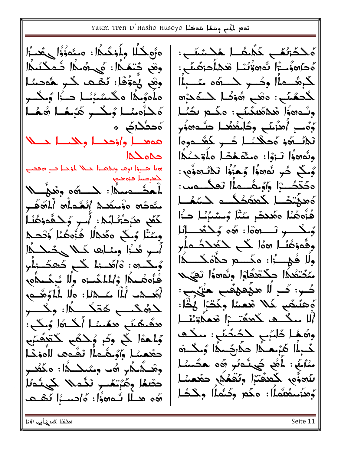هَ مِلْكُمْ إِلَيْهِ مُعْدَدًا : هَمْدُوْوًا لِلْكُمِّةِ وَأَمْرَ مِنْهُمْ مِنْ وهَمْ جُنْعُدًا: ٥ حُمْدُا شُمْكُمُّا وِهْدٍ يُوَوُّقَا: نَشْعَدُ كُلْبِ هُوَجِسًا } ەلمۇمكا ەڭىئىبْسا ھىزا ۋىگىر ەَݣەْمَـَـا وُحْــو ھَبْعَـا ھُھَـا √ ەُحثٌك(كَ ∻ هومسار واؤجحنا وللحسا لحنيلا INON ها هيوا أوها وبلاهيا لملا لمفط صر هفضع لمعرجسا فزوهتها مثَّدَتُه هُوَمَعُداً إِنُعْدَاهَ ٱلْمُكَانَ لَّكُعِ مَزَحَّزُنُـلَّكَـا: ِ أَسو ۖ وَ حَــفُـهوَهُنُـل ومَنْنَا وُسْكَى هَعَدْلَا هُزْهِهُمْا وُتْحِيدْ أصب هُنْزًا وَسُلْكَ لَهُمَا لَكُمْ مِنْكُمْ لِلْمَسْلَمِينَ وُ گ 5: ةَ الْحَــزا كَـــرِ كَــْقِكَــزاكِر فُأُهكُما وُالْمَلَكُمْوَهِ وِلَا مُرِكَّمِهُم أَهْلِكُمْ أَلْمَ الْمُسْكَمَّاتُ وَلَا لَمَادُوهُ مِنْ لحدُكمب هُقكُـــدُا: ولحُـــــو ھكُىگىلّ ھكْىسْا اُكْتْدَا وُلْكِ: وَلَمِدْا كَمْ وَدُ وُحْقُمٍ كَقَدِقَتَهِم حقْدَ أَرَّوَ حَمَّداً لَفُّوها لِلْوَجْل وقناهمكر شا وسُلاَمًا: مَكْفُر حثَعُمَا وِكَبِّتَمَــرِ تَذَّـمَــلا ۖ كَيخَدُنَا هُه هِـلَا نُـهِ هُوُا: هُ/صَبُرا نُـهُـبِّ

ەَ كەَرْنُمَى كَدُمُك مُكسَنَى: َهۡحَاۡهِ ۖوَۡــٰٓٓٓٓٓٓٓٓا ۖ ثُهُهَ وَّقُسُّـلٌ ۚ هَٰـٰهَـٰكُـٰهَـٰبَـٰۖ ۚ : كمرشمال وحُسب كمحوَّه مَصْبِراً! لْحَمَّسًٰٓ : ەَتَى ۞وۡصًا لِمَــٰمَدۡۥُ وَ وِلَــدهوَٰۤا مْكَـدُكْمَـٰـبِ: مكَــع بِـدَّـُــا وَوَّس أَهزَّمَـٰ وِكَامعُعُـٰا حشَـٰهووُرِ لْكَلَّــةُوْ هُحِكْـُــا خُـــو كَقُـــووا وِثَمِهِ وَالْمُ أَوْلَىٰ مِنْفَهُشَا مِلَاقِحِيْكَا وَّىكُمْ ثُمِ نُوْهُواْ وَهُزُوَّا لَكْلُنُووْوْيَ: 5 مَحْدَثُ = {وَمَعْدَمَا أَلْفَادُ = 0}. هُمحيّتشا كُمحَمْكُــه حَــتمُــا فُأُهِكُمُ هَمُدَهْرِ مَثَلًا وُسِئْبُرُمُا حِزَّا وُكْسِر تَــــــهةْا: هُه وُكْعُسَــالِمَا وفَعزِمُنُــا هِءُا كَبِ حَمَٰدَتُــْعِلَمِ وِلَا قُمِيًّا: مكَّـــم حدَّة كُــــدًا مَكْتَمُدَا حَكْتَدَهُاوْا وِنُوهُوْا نَصْحَد حُـــو: کَــمِ لَا هکُهِهِمَّـــع حَتَّکِيمِــع: أَوْهَنُتُم خَلا شَعْبُا وَخَدْرًا هَٰذًا: أَلَا مكْــدَ كَعدَّتْــرَا مْعَذَبَّدَلَّــا وِهُمُا دُائِبِ حَدَّمَّبٍ : مَكْتُ خَبِلًا هَبُعِمَا حَذَرَجَــذَا وُحَــٰفَ مَنْكُمْ : ﴿ وَلَا يَا مِنْكُمْ لَهُمْ مِنْكُمْ مِنْكُمْ مِنْكُمْ مِنْكُمْ مِنْكُمْ مِنْكُمْ مِنْكُم سَّوذُو كَعفَتْهِ وَتَفْعُكُمْ حَقْصَمُا وُهَ مَعْشَمَاًا: مَكُمْ وَكُنُّمَاً وَحَكُمَا

تَعَلَّمُ الْمُسْتَمَامَةِ الْمُسْتَمَامَةِ الْمُسْتَمَامَةِ الْمُسْتَمَامَةِ الْمُسْتَمَامَةِ الْمُسْتَمَامَة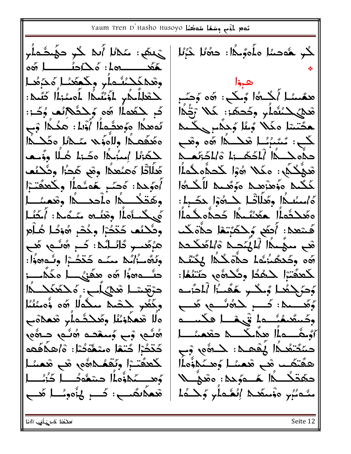لْحُرِ حُدَدَسُا مِلَوْمِكَاا: دَوُّلَا خَزَىٰل جْمِعْتُ مَكَانًا أَبَدَ كُنِ حَجَمَةً وَمُتَ هَهُد ده انگردهٔ علم الله وهمكمحلتمار وكمفحا وكبحا ھېۋا همُسُل اُكْتُوا وُبِكَى: وَهُ وَجِبَ لِكَتْخَلِلْمِكْمِ لَمُؤَنَّفُكُمْ لَمُومَنُوْاً كَتُمِكَا: كَرِ لِكَعْمَلَا هُ٥ وَلِكَتَلاَبُكَ وُكَـٰ; هْلِمَحْمُدُمْ وَحُحِقَٰ: ݣَلَا ۚ رَقُكُمْ لَهمْلًا وَوُمِثِّهِماْ أَوَّاءً: هَدُلًا وَبِ مكرر بملكر وَمِنْا وَحِكْمِ بِمَكْتَبَهِ كُبِ: مُمُبْرُسًا هَكَــٰهَا هُ٥ وَهْب وهَكُمِيهُمْ وِلِلْوَوْجِدِ سُبْحَانُا وَكُنْبِيْهِ ا لحكَّرْمًا إمبُّرْحَهُ الْحَذِيمُ هُـلًا وَذُبِّعَب حِدْهِ حَـــدًا أَلْمَحَمَّــ : إِنْ أَمَاحَتَهُـــدَ شَوْكُكُو: مَكَلاً هُوْاً كَحِذْهِكُمْأَا مَْلَاتْا هُمْسَلَا وقى كَحِزًا وتُكْلُف أَهَوُها: هَصَّمِ هَمشُملًا وِكُعفَّسْهَا كَكْما هُوَمِنْزَهِما هَوَمَُعِيمَ لِلْكُرْوَا وهَقْكُــــكَا هلْعَــــكَا وقعمئــــا هُامِمُبِكُمُ وَهَٰلَاتُنَا ۞هُوْا ۞هُوَا: كَيْݣُمِلْكُمْ وَهْلُدْ مَمْشُمْهِ وَالْمَوْلَمْكُمْ مِنْ الْمَحْلَمْ وهَدَدْهَاْلِ هَهُنْنُسَمَّا حُحِدُوحُدَاْلِ فَسْعِدا: أَصَٰعٍ وَلِحَمَّتِهَا حَذَّةَ كَب وثَكْنُفْ كَذْكُرًا وِخُصْرٍ هُوْكُمْ هُلُوم ھڔۢۿٮٮۅٖ ػٳٮُـڵؠؙٛ۩: کَــڔ ۿؗٮ۫ٛڡڕ هُب هَم سهْماً ٱلْمُبْحِدِ ٱلْمُكْحِدِ ولَهُمارُهُكُمْ مِنْدُ كَذَكْرًا وِلُـ20\$! هُه وِحۡدَهُـنُهُمُ حَذَّةَ كُـدًا لِمُنۡنَـٰدَ كَعفَتْ الْحَمْدُا وذُكْرُهِ مَتْنُعُلُ: الْمُسْكَمُعْكُمْ : مَكْعُكُكُمُ ا وَحَرَجِحْمَا وُحكَـبٍ هَقَمَ ٗا ٱلْحَزْمَـــهِ وِكَعُدٍ لِكَسْمًا مِكْدَلًا مَهُ فُوَمِئْنُنَا وَهَــــمه: كَـــــرِ لهَاهُـــــــــم، هَـــــم وَحُسَعُدَهُمْـُــدَاءَ قَيْحَمْــا هَكْسَــدَّ واَلْ شَعَكَوْنُنُا وِثَعَكْتُمْلُو شَعَكَةَب آؤگ است اللہ کے حقومنے رُەنگە ۋىب كېمىقچىم شەنگە جاڭە حِمَّتْتَعُدُّا لِكَمْعَـدْ: شَدَّةُو، وْبِ كَذْكُرْا كُنْعْا مِنْعُفْكْنَا: وْأَهْلَافُهُمْ هَقْتُفَــد شَــ شَعْشَــا وَهــَكُلِمْؤْهَا ا لْكَعِثْتَهِ! وَنُقَصُّكُمْ وَهُ مَعْ هُدَا الْمَسْتَدَارَ وُهِـــــمُهْوَّه الْاحْسَمُّه كُـــــــا كُرُّـــــــا حَكَفَكُـــكَمَا ـمَــــوَجِكا: ومْنَيْـــلا شعكَاللَّمَــــبِ فَـــبِ لِخُومُـــل هَـــبِ مثَمَبُرِ وَقُمِعُكُمْ إِلْعُمَلَرِ وَحَكُمْ

الماأأ صفأتم بالفكض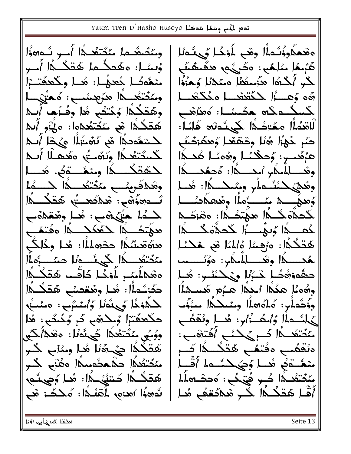ومَكْتَبْدَهُــدَا مُكْتَبْتُهُــدًا أُســو شُــ2%وُّا ۇىسُا: ەھَعكُــما ھَتَكُــٰٰھُا أَـــو متعَدُما حُمدُما: هُـا وكُمدُّسْـــرْا ومَمَّتَتُع ـدًا هَرَهِمَىــ : هَمَّتَيْ ــا<br>وهَقَـدُكُمَا وَحَّتَصُ هُا وقُـنْبِ أَبــد هَقَكُمُا هَي مَعٌتَعُدُوا: وَيُزْوِ أَلَدْ لَّكَ الْصَرْهِ الْمُتَّمَّةُ مِّهُ الْمُعَشَّكَ لَّكْسُكْتُكُمْ أَوْنُثُمَتْنُ وَهُدَّهَا أَسْلَمَ لكفَقْكُـــــكُل مِنْعُــــتْهُ. هُـــــل وهْدْفُومْب مْكْتْعْسْدًا لْمْسْدُدُ لَـــه هَوَوْهَى : شَكْلُه صَـــُّلُ هُــَكُــــدُّا لِحَدُّمَا حَتَّىٰ وَهُدَا وَهُدَاهُ بِ ههُتمُـــدًا حكَمَدَـــدًا هفتمُــح هدَهُ مَنْسُلًا حَدْهِ الْمَا: هُـا وِخُلِنَبِ مَكْتَعُــــدًا لَكَــدَمُا حَسَـــرَهِـدًا ەھْكلَّىئە لَهْكَا كَاقُب ھَقْكُـكَا حَكَّرْشُمْلَا: هُـا وِهْعْصْبُ هَٰتَكُــٰاًا بَنْْمَدُه : جِبْمُمْامٌ لِأَعْلَى لِمَاهَمْكُمْ } حكَمْعُتْبَا وُحِدْهْمٍ كَرِ وُخُصُّعٍ: هُا ووُبُّى مِّفَتَعُدًا ۖ كَيْشُاْ : هَدْا/ُخْكِي هَتَكُمُا ۞هُمُا هُـا مِمْآبِ كُـرِ مَكَتَعُدًا حدَّحثَهمدًا ههُنَّى لَحْب هِنْدُهُ! كَمَنْكُلْ هَذَا أَمْرِكْتُمْ الْمُكْتَمَةِ لُهِهِوُا ٱهزَى ۖ لَمَلْـٰهَا: ۚ هَـٰلَـٰـَـٰٓ تَب

هڤعكُوؤُنَّـهَ أَلْمَـهُ أَلْمَــُّلَ وَسَعَــهُ مِنْ مَثَّلَّـهِ مِنْ صّْفَشّْمَهِ مِنْ وَكُلّْ مِنْهَامًا مِنْكُمَّةٍ لْحُدٍ أَحْدُهُ! هَزَمْتُهُمْ! مَتَّكَلًا وَجَزَّوْا هُه وُهِــُ;ا لِمَكْقَفَــا مِكْكَمْــا كسكــەكم ھصًىئــا: ەھكۇب لْلْقَمْلَا مِمَّتْكُمْ كَيْدَنْ فَاعْلَى: حَبْ خَهْزًا هُلَا وِحْقَقَدا وُمِكْرْحُنِّي هزُهُمبِ: وُحِمْنُمَا وِرُهُ مُما هُجِمَا وقب المُدُو ابِحِـــدًا: هُحمُحـــدًا وِهْجَىٰكِمُنُـهلُـرٖ وِمِمْـكــٰ\$ا: هُــا وَهِيَٰهِمْ مِمْسِينُوماً وِهْهِكُومُسَمَّلَ كْحِدّْة ݣْـْـدًا مِدْيَتْشَـدًا: وْهْزْشَـدًا لَحْمَـــــــدًا كَوْنَ مِنْ الْمَـــدَّة كَـــــدًا هَقَكُلًا: هُوَمِسُا هُالمُا هُوَ هَكْسًا حَثَّقُودُهُكُمْ حَـٰئُمُا وَيَكْشُو: هُـا وهُومُا هَذُهُ! ٱمحِمَّا! هَــُمْ هَمْسَــهَا] وِذُهُمَارٍ: كَالُهُ10) ومُمْلِكُما مِبْرُد كِلْسُمْلَا وُٰلِمُسْنُٰابِ: هُــا وِنُقَعُبِ مَكَتَمُد \$الْكَرِي كَلّْبَ } أَكَتَهُ بِ ەنقفىپ ەفتفى ھَقكْــكَا كَـــر متعشقه هُــا وَجَهْــْــملاً أَقْــا مَفْتَعُدَا دُـِرٍ فُتِيحًا : مَحدٌ هَذَا أَقْـا هَتَكُـدًا كُـبِ شَدْكَعْفُـ مُـا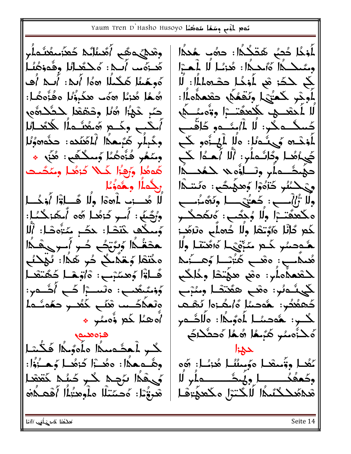وثنكم منكم أمَّنشَلْكم كَعَذَمْمَعُنُـملُـم كَنزَهُ مَنْ أَسْمًا: كَالْكُمْ الْلَمْ وَقُودُهُمُا أَ دُوهَمْلا كَكْبِلَا 10% أُبِي\ أُبِي أُفْ هُـمُا هُـْ:ىُا ههَــ هكْبِؤُىُا هِفُنُّهِڪَا: حَبْ خَدْنَا هُلا وحْقَقْلا حْدُحْهُمْ أمكب وكمح هُمعُشُملًا لَهُعُماً وِجُبِلَرٍ كَبُنِعِيْا أَلْمَحْتَدِهِ: حَذُووُنُا وسَمُو فُزُّدِهُمُا وَسِكْفُو : مُنَّزِ ﴾ كُوهُا وَرُقِزًا كَلا كَرْهُا وِسَكْتُ ليؤمش بالمكن لَّا هُـــزَب لِمُرْهَا وِلَا هُـــاوْۤا أَذِجْـــا وْرُجُمَّدٍ : أُسو كَرْهُما هُ٥ أَمْهَرْكُمُا: رَّمِمكُ هَنْشَا: حَضَرِ مَنزُّهِشَا: أَلَل َ هَدْهُ الْمُؤْتِكُ ۖ دُ إِلَيْسِي الْمُسْتَدَارَ ەڭتقا ۇھَدَىگى خُر ھَكَا: نُوْكْبُ گَارْاْ وَهِمَّرْبٍ : ۞اوْهْـا كَهُتْعْـا ەتمككىسە شئى كەسر كەمئىما أەھمًا كُمْ وُومْس \* فزه همه لْحُــدِ لْمُحَـّـمِيمَا مِلَوَمِّمَا كَتَّـتْبَـا وهُـههَا: هِعُــْأَ دَهُــا وَـعـُزُوا: كَيْݣَا بْرَجِـدْ كْبِ كْبُدْ كَتْفَقّْطِ هْدِؤْيَا: ەَحِمّتْلَا ەلمُوھِنُّهَا ٱفْعِـدَه

لَمَذَا حُصُّ هَتَكُمَّا: حمُّب هُدَاًا ومِمَّىكِــكَالَ كَامِــكَال: هُذِيَــلا لَلا لِمُــمْـزَالِ لَّكُمْ حَكَّةٌ هُمْ لَمُؤْمَلُ حَشَوْمِلْمَاً: لَل لُمُوِيْدِ لَمْعَتَيْهِا وِنَقْعُكُمْ حَقْدَهُمَاهَ الْمَنْهُ لَا لَمَحْمَدٍ لَمُكْمَّنْتِهِ! وَوَّْمَسُـكُلِّ كَسِكُــدكُـر: لَا لْمُابِئَــدو كَاقُـب لَمُوْحَدِهِ وَيَحْدَمُلْ: وَلَا لَمْلِخُومِ كَمَعَ كَهِدُهُمَا وِكَانُـملُو: أَلَا أَـهـدُا كَــح حكُنْـــولَمْ وتَـــاؤُه لاَــمُعَــــدُا ويْحِـنْنُو خَآەُوٓا وَهِجُمصَّـهِ: ەَنُـتَــدَّا وِلَا رُّمُ أَنْ الْمَسْيَ الْمُؤْمَنُ وَلَدَّهُ مُّوسَ هكَعِثْتَهْلِ وِلَا وُحِثَبٍ : هُنِّصَحْكَبِ لَحُم كُانًا %َوُتَـٰهَا وِلَا حُمَاٰبٍ وَلَاهُـٰـِ; هُ عَصِمُو حَكِمٍ مُؤْوَى الْمَرْتَقِيلِ وَلَا هُدأَمــبِ: هڤـب هُنُوْـــا وَهـــزَمد لمُتَعَمَّاهَ أَبَّ وَهُمْ مَدِّيتُهُمْ وَخُلِكُمْ كَيْدُونُو: وقْبِ هِقَتْشَا وِمُّرْب كَعِفْتُو: هُوَصِمًا وُامْتُوا لَكُ عِن لْحُــر: الْهُوصُمُــا لِمُوَرْدُا: وَلَادُــورِ ەَڪزُەمْبِ كَبُعْلَ هُعْلَ ەَحثَىٰكَ ۖ حجزا كَعُدا وِقُمِعْدا ەوْمِسْلَا مُنْسَارْ وَهِ وكَعْفُكُـــــــا وِيُنْكُـــــــــفْلَرِ لَلْا مْدْكَنْدْدُا لَاحْتَرَا مْكْعَذّْبَةَ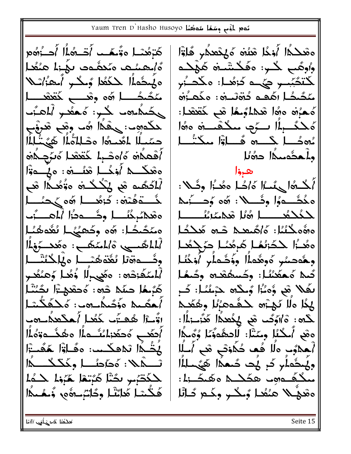Yaum Tren D'Hasho Husoyo مُعْمُدًا مُعَمَّدًا Yaum Tren D'Hasho Husoyo

كَتْرْهُنْسَا هَوُّمْهَــْتْ أُنْسَـٰرُهُ أُنْسَـٰرُوُهِمْ ۖ ةُامعسُــم مَدشَــم سَبْــزا هنُعُــا دَهُمَدًا لِحَكَمُا وُلِحُمٍ أَلْمَاءُ الْمَسَلَامِينَ مَكْدُكُ أَهُه وقْبَ كَقْفْ ا لْمَكْسِمَةُ مِنْ مَعْصَرِ ٱلْمَعْنَى مِنْكُمُوْمِ -: حَيْثُمُ الْمُقَرَّى : حَيْثِكُمْ -: مَعْرَفُتِكُمْ حمّىــلَا المُعْــوُه الْمَــوُه الْمَــوَة الْمَــدَة أَقْعَدُهَ هَاهِ شَبِطْ خَقْفَطْ هُنَّرِجِـدَة ەقىڭگە أَوْخُط قْشُدە: ەلى دَوّْا ُلْكَتُفُ مَّةَ يُكْكُنُ هُوُهُكُمَّا شَي هُ تَوَهُّدُهُ: كَرْهُكَ أَوَّهُ كَحِمُكَ وهْلأَبْرِكْنُـــا وشُـــودُا أَلْمَــــزُب مَمَّصُطًا: രٌه وحُمْيُهُم نُعُمْطُهُمْ ا اْلْمَاهُــــِي هُاْلَمْهُـــو: هَلَاـــرَّوْلَمْ ا وثَــــەة،َل نُغْذَهُنْــــا هِلْلكُنُنْـــا لْمُمَكَّرْدُهِ: هَعُي الْمُ ذُهُدا وُهِمُعُب كَبُنْهَا حَنَّدَ دُهِ: كَحِمْدِيْٓا بِكُنْتُا أَهقُمه هَؤُشُمُلِها: هَٰذُفُذُسُوا اقُطْ هُدْتُهِ كَعُداً أُهِدْهُكُمْ وَمِ إِكْتُمِــــ وَحَقَّدَهُمْ مَا وَالْمُسْــدَّةِ وَالْمَالَ لِمَشْــدًا تَــاهـكْـــب: هَقَــارْتًا ـمَّقَــــْرَا تَسْمَلاً : هَدَادَنُسْ إِيمَٰذَكُمْ وَا لْكُتّْبَبِ بِكُتْا هُبْتُمْا هُزَهَا حَدُّمَا كَثْسًا مَلَّتْلَا وِكَاتَبِــرْهُم ذُهُمْكَا

ەقىلىكا أُوْحُا شَنُنْ ەَكْتَعكُم قَاۋَا وُاوِكُىم كُـر: ەفَكْـشْــة كَـهْكــه كَتَثَبُّب حَيْءَ دَهُـا: مكْحـُبْ مَكَىحُىلِ اكْتَحَا حُقْشَىرَة : مَكْعَنُرْه كَـمِرْهَ هَا شَمَارُمُا شَـ كَتَعْقَدا: َهْكُــْبِلَٰا سـرَّدٍ مىڭـڤمــة ه\$ا مُهجُما كُلُهِ هُلُوًّا مِكْتُما وأحدَّد الْمُدَّارِ الْمَرْكَبَ ھېۋا أَكْثُرُهُ إِيضًا وَأَصَلَ وَهُدُوا وَشَكَّلَ : ەخْشُــەرُا وشُـــىلا : ئەە ۆھــــزْمىد حكحك كالمؤلم شحمتهن ەۋەڭئىلا: كَاڭىعىد ئەي ئىنىشل ههُدُا كَحَانُهُا هُرِهُنَا حَرَكَهُا وحَدَدمُو دَوهُداَا وَوَكُداَبِ أَوْحُلُوا كُما هُهَفَنُنُا: وكُسِفُعْدِهِ وكُنْهَا ىگىلا ھى وُەنُزَا وُلْگُلُ مِنْكُلُّا: كَبِ لمكله وألا تكهنوه للشام وأولادها والملم لْكُلُّهِ: وْأَاوَّكُتْ هُمْ لِمُتَعَذَّا هَٰذُــ; هِ ثَمِكْنَا مِمَّتَا: لَاحِقُوَّمَا وُهُمِّا أَهلاَوُبِ وَلَا قُهِا خُلَاوَتَى هَى أَسْلَا ولَمِحْمَلُهِ كَمْ يُصِحْرَ الْمُعَمَّلَ الْمَجَمَّلِيَّةِ مىڭگەھەب ھكلىك ەھىكىزا: هڤوهْبا هنُعُدا وُحكّبٍ وحُــم صَالَنَا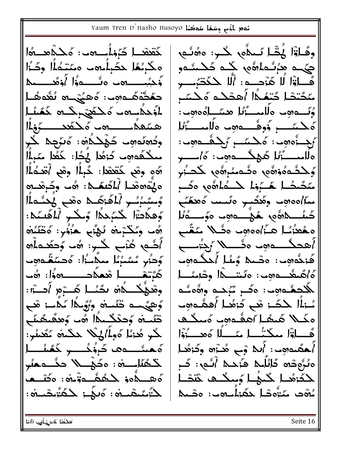Yaum Tren D`Hasho Husoyo شدهها متدهم باء Yaum Tren D`Hasho Husoyo

كَقْفْطْ كَرُوْلُو مِن: كَاحْكُلُو مَا مكْبُعُا حَكَبِلَمِ مَعْنَـٰهُاْ وَكَـٰٓرَا لَـــهُــُمَـــهُ مَـــرَبُــه هُـــهُ سُعِمَـــهُـــهُـــه لمُوَحِكَ اللَّهِ مَحْكَمَةٍ مِنْ اللَّهَ مَعْشَلِ هتمهگر مصدره محکّد تروفاً ودُه َنُوهِ بَ حَيْحَـٰهُ وَ: ۚ هُ نَرُجِهَ ۖ جُبِ مىڭگەھە كَرْهُا لْمُكَا: ݣَهُا مَبْرِلَهُ هُو وقْعِ كَتْعَقّْعَا: كَهِلًا وقْعِ أَقْدَمُلًا هِيْتُوهِمَا أَلْمُصَّلِهُ: هُب وِجُرِهْبِهِ وَْمِنْتَبِرُمْسِ ٱلْمُفْرَكَى ۖ هُ وَهُمْ لَهَدْ الْمُحَمَّدُ ﴾ [الله عنه 1 َ وَهِكُانَةُا ۖ كُمُ بِدَكَا ۖ وَمِكْبِ ٱلْمُقَسَّلَا : لَّهَ وَمُكْتَبِمَةَ لَكِّنَى هُزُوْرٍ: كَطْلُمْة أَشُّمِ مُنْهَى كُلُّو: شَا وُحِكْمَاهَ وۡحزُرٖ ۦٞٮۡنُبُرُۢۦ ۖ مَدۡمَـٰ;ۢا: ۚ ہُۡصَنۡفُـُدومِـ كَبُتْمْــــــــــا مْعِكْدِــــــــــــرەؤا: ﴿ وقَدِيْكُــدُونَ نِصْـَـا هَــثَوِمِ أَصــتَوْنَ وَهِيَمَــهِ تَفَسَّــهِ وَزُوَّبِــهَٰا مُـهَمــٰ; هُب تْنُسِةُ وُحِدْكُــدَا اهُــْ وُهفُـتُمَنِّـع لْحُمْ هُٰذِمًا هُوِلَمَا لِيَكَلَّا حَكَمَةٍ كَقُمْلُو: | ەھىشىسەھە كاۋېڭىسىپ ئىگىئىسىل تْݣْفَابْتْ: ەكْݣْتْ دْشْمْمْبْر ەُھـــدُەۏ ﯩﻠـۿۿ۫ــەۋٛ؞ە۞ وكْتَـــع لِخَبْسُمْسِيْنِ : كَانِكُبِيْرِ بِكَفَبْرِيْشِيْنِيْنِ :

وَقَاةٌ إِيضًا نَعِدْهِ لَحْبٍ: هِهُنَّهِ دَيْءَ هِبُنُـه/هُم، كَـِـه كَـَـْـِـسُـهِ فَاوْۤا لَا مُرْحَــد: ٱللْكُدَّرْــــو مَحٌتصْا حُتمُدًا أُهضُدُ وَحَمَدٍ ۇئــــەھِـــ ەلَامــــنُّەُل ھىئــــاەُەھِـــ: هُكْسَبِ ذُوِقْـَــدِهِ ولَامِــــأْمُل أَرُدِ أُوهِ : لَا مَكْسَبِ رَجْدُ وَهِ : ەللىكئار كېڭىدەت: كاسى كَمِـلْـشُـەەُوْھُى، ەشُـەمئىرەھُى، ئَلْحَــزُىر مَكْتُشَا هَيْزَوْا لِمَسْأَوْلَاشُورِ وَكُسْرِ |مأااەەرەب وكَتُصِّر ەلَّىسە كَاھكْتَى كَسُـــكَمْتُوبِ هُيْــــوبِ وَوُـــــوُلَمْ مَعْتُنُا مَذَٰاهِ وَمَعْلَمَ مَغُبِ أهمك وهوبه وقُسم الأرجة وب فَنِدُون: وضَما وُسُل أُمْلَكُوهِ لمُلحِمُوهِ وَدَرِ تَبْعَد وِرُوهُ مَدْ سُنِطَأَ لَكَتُ: هُبِ كُرْهُمَا أَهِهُـُومِـ ەكىلا كىئىل اھقىموپ كىنگە هُـَـاوْٓا مِكْشُـَـا مَـَــلًا هُهَــُوْٓا أُهقُدوها: أَلا وَ مَنْ هُنْزُو وِكْرْهُا ا ەنُوْجْھ دُائلُي ھُنِي الَّيْمِ : کُبِ لمَحْزَهُما كُلِّهُما وَسِكْتِ حْتَصْل مُهْد مَنْزُهِدًا حَکْزَامُ وَمَعَهُمْ مِنْ مَدْ

الماأأ بهف الفكمة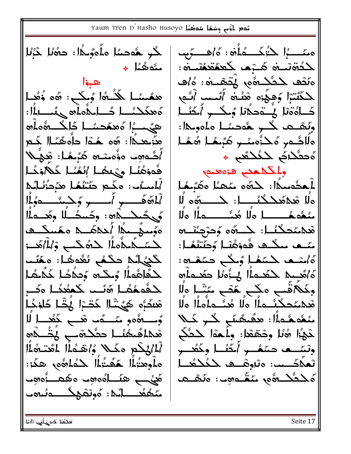لْكُرِ حُدْحِمْا مِأْهُوَىٰهَا: حَمَّانَا خَزَّىٰل دمئك الكثوك كالمفازة : كالصدوب لْكُتْوَنْسَةُ هُـَبْعَا لَكْتْكَعْتْمُنْسَةُ: مثەھْىُا ﴾ هَنْتُكَ لِلْشَكْلِمُونَ لِتَنْقَسِينَ : هُ اُكْ ھمَسُل كُلُّەُ رَكِّي: وَهُ وُهُل لْكُنُنْتِرَا وُهِكْنَ هُنُـنَه أَنُــب أَنُـهِ ألماكس ملامله الشكلمة كَــاهُوْمَا لِــتّوَحِلَامَا وُحكْـــرٍ أَحَمُــا حَيْبٍ ۚ إِ ۚ وَهُدَسُـ إِ خَالِكُـ وَّهُ مِنَّامِ ونُشَعَد كُــرِ هُوَجِيدًا ولوويكا: هُزَىعِيهَ!: هُو هُـوْا حِلْوِهُمُـالِ جُـمِ ەللېئەر ەڭگەنىپ كېشلى ھىل أَشُّەمِ وَوُوسْدە كَبُسُمَا: شَيْمَلا أَهْحَثُكُلُّكُمْ ﴾ [مَحْكُمُكُمْ ﴾ [مَحْكُمْ ﴾ [مح فَوفَعُلًا ويَعطَ إِنْمُنَا لَكَلاَوَخَا ولمكلمه فنوهمه أهدُّه مداًا: حَدَّهُ مَحْمَدًا وَهُرُّمُهَا لْمُسْآب: مكَّم حَنَّتْنُهُمْ هَدَجَٰنُـلَّكُمْ وَلَا شَدْكُنْـــــــــــــــــــــ أَوْهِ لَل كَيْݣُبْكْسْكُمْ؟ وَكَسْكُسْلَا وِهْسَكْتْرَىٰوْمْ ەَوَسِيْسِمُ الْمَحْمَدِ ەَهَسْكَلْف هْدْسُدْكْنُـا: ﴿ هُوَ وُحِرْجِنْنَــْهِ لِمَسْلَمِدْهُ الْمَدْهُكْبِ وْالْمُلْاخْرِ مِّــم مىڭــە فُەزەُنْــا وَحَتْنُمُــا: لْحَيْهَانُمْ حَكْمُ تُعْمِعُا: مَمَّنَّب ەُ استىما ئۇنىڭ ھىشھە: لحَفَاهُماَ وُحْده وُحِدُهُا حَدْمُهَا ۖ وَاعْسِمْ لِلْمَصْمَالِ لِهُوْمًا حَقْدِهَا لحفْمِهُما هُنَـب لْمَعُدُا هُـب وكَلَّاقُبِ مَكِّي هُصْبِ مَثْبًا وَلَا هْتَدَرْه هَيْشَال خَدْءَل يُضْل حَاذِجُلْ هُدْسَدْتَكْتُـداْلِ ما لَهُ شَـداْه الْ سُعُمشُماً : مَقْتَضَبِّ كُـرٍ كَــلا وُـــڤُٯو مَـــُمَـٰ شَــہٖ كَعُنــا لَل هَدَاهُ هُنَا حثَكْ هَبَ فُتُكْتُهِ حْهْزًا هُلًا وِدْنَفْعْدَا: وِلَمْحَا كَحْكُمْ وثسَّـــما حسّمُــــرِ أَحَفُـــا وكَعُــــر ألمايكم مكملا وانفسه المأمنية هلُوهِيُّهُمْ الْمَقَيُّبُمْ لِلْمُلَاهُمِ هِكَنَّ تَعدَّكَـــب: ەتْلُوڭـــڤ لْكُلْكُــا ەللەشلىر ئەربەت ئەنقىت كَثِيْبٍ هَنُــاهُ٥٥مِـ ٥ هُـڡــرْ٥٥مِـ مَنْتُفُعُ الْمَا: ەُوتْتْكُو مُسْتَوْتَ

تَعَلَّمُ الْمُسْتَمَامَةِ الْمُسْتَمَامَةِ الْمُسْتَمَامَةِ الْمُسْتَمَامَةِ الْمُسْتَمَامَةِ الْمُسْتَمَامَة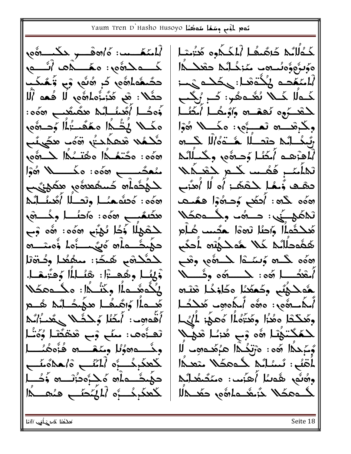أَلْمَنَّفَـــْـــْـــهُ أَمَادَهُــــوا مِنْ مِكْـــــدَّة مِ كَـــــــه دقَهُ مِنْ مَــــــدَّه لَا تَـــــــــهِ حَصُفُهَاهُم کُرِ هُلُم وَ وَهُمُکَب حثُلًا: شَي مُنْزَعْهَاهُو اَلْم فُعِهِ ٱلْمَالِمَ ُوَوَصًا أَهُدِيُــالَيْمَ مِتَصَنَّحَىبِ 2009: هكَــلا يُتُــدُّا همْقُـــتُمْلَا وُدــدُّهِ طُّهُلا شَعْلَاحَتُلْ قَهَّ مَحْيَلُب 000: 05تمُمُ \$الصَّلَاطُ لِكَ مِنْهُم مْلَعْضُمْـــــــــمْ (200 : 200 : 200) لمَهْشَمَاه مُسْعُمِّشَهِ مِكْمِنَ بِ 1000 : 00 مَشْهِمُــا وَتَعَــاًا أُهُّمُــابُــا هكُنفَيب «هُ٥٥: هَاكْسَا وِحْسَسْ» لِلْـهَٰـهَاا ۖ وَٰحًا نُـهُبَٰۖ وَوَٰهَ : وَهُ وَبِ مكمن في المستحدة من المستحدة للثَّلْـرَة مَا هُـدَة: معفُعُـا وضُـرَّةَ وْلِمُه الْمُعْدَّرَا: هْمُهَا الْمُعْتَوْمِهَا. لْمُحْمَدُ عَلَٰہُ وَخَنُّـٰهُا: ہگـحکلا هُــواْلَ وَاكْتَفْــل مِنْهَتْــابُّنْ هُـــم أَقْدِهِ - أَمَثَلُمْ وَحَدَثُمَا النَّصْرَةُ الْمَحْدَثَ تَعَزُّهَ … منَّع وَبِ هُتَقَثَّلَ وُهُنْـأَ كَعْكَرِكُتُّ أَمْ أَمْتَنَبَ ٱلْمَكَادَمَتَ حكْمَــْـــهلَاه كَمْـــْبُهْدُرْتَــــه كَوْــَـــا لَكَعْكُرِكُمْ إِلَّا إِيَّـٰتَمَـٰ ۖ عَنُـْهِـٰـٰهَا ۖ

خَدُلَلَه حَامُحُدُ أَلْمَٰكُوهِ هَـٰٓزَمـْمَـل ەوَبۇەۋەنىسەت مەزگىلگى جىھىلىك نحرَ مكحْرِ :لحَةَتْكُلْ مكمْدْلمْأَ كَــەلَا كَـــلا نُقُـــەھُر: كَــر رُكَـب للقبؤوه نفشته وأؤلما ألمطا وكرثت ده تمرؤها: هكْنِيلا وُوْا أَرْبُحُكُمْ حَتَّصَـلًا هُــْـةَهُالًا كَــــرَّة ٱلمادْرْهــم ٱلْكِتُـل وُحــوهُى وكْـــلِّلَكُـمْ تملُمًى فَعُست كُلّْمِ لِتَعْلَمُكُلُّ حقَّف ذُهَا حَقَقَۃٖ أَهِ لَا أُهْبَب هَهُه گُهِ: أَصَفُ وَحَدَّوْا هَمُتَ تَكَلَّمَنَّىٰ : حـــــوُّف ولَحـــــــــوهَكَلاً مُكَثِّمَاً وَاحْلَا نَحْمًا عَصُب هُام هَدُّدلَلنَّه خَلا هُدكُمُتُه لَمَحْكُم هَهُه گە وُبْسُنْدَا كُنْهُمْ وَهْب أَعْفُسًا قَهُ: ﴿ فَقَالَ اللَّهُ وَشَسْلًا ﴾ هَدَهُبْسِ وَحُعَمُدُا هَاوَدُا هَنْدِهِ أَحْكُمْ وَهُوَ أَوْ أَحْكُمُوهِ مَكْلُمُوا مِنْ مُحَكَّمُ وهَكُدًا مِعْنًا وِهَٰتَهُا أَمَعِهَا لَكَيْهِا لِمُكْتَبُهُا هُ٥ وَبِ هُٰذِـًا هَٰهَـٰلِا أَوْجَهَكُمَا هَء: وَرَبَّكُمَا هَزَّهُدوهِ لَا لْمَفْ: تُسْلَبُه كُـ2هَلا مْعِدْا وِهُنُّهِ هُدْمُا أُهْنِي: مَمَّضُغُلِّكُم گے مکلا حُزْمُثُ وارثُور حَفہالًا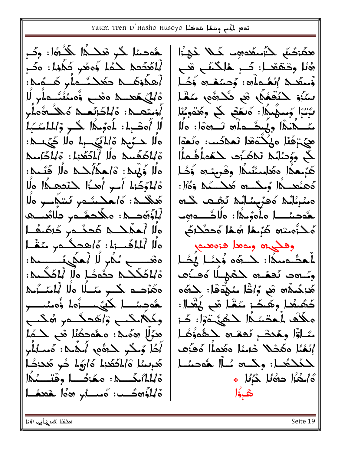هُدَمِنْا لَحْدٍ تَعْلَــٰهَا لَمَكُـٰثُهَا: وَكَــرِ لْمُكَحَمّ حَدَّا وُدمُدٍ كَلُّوْا: دَكَّرٍ أَهِكُوْهُــدُ حَعُدْــُــملَٰہِ هَـــُمَدْ: ةَالْمَكْمَعْكُمْ هُوَسُوْشُدْ وَالْمُسْتَدِينَا وَالْمُسْتَدِينَ أَوْمِنْكُمْ : قَالِمْكُرْتُمْكُمْ كَالْكُسْرَةُدَلَمْ لَّا أَهضَبِكَ: فَهَجُمَّا كُبِرٍ وْكَلْمُسَبِّكُ : A لِكَ لَمَاهِ لَمِ يَعْتَذَلَكَ A لَمِنْ مِنْ الْمَاهِ ەُ/مُكَصِّدِ مَالَ الْمُكَحَّدِ، وَالْمُكَسِّد ةُالمَوْحَظِ أُسِي أَهْدُا كَنْتَحْفَـذَا وَلَا كَعِنْكُمْ: كَامْكُمْشُەر ئَىتْكِسِر ەلْل أَلَمُوْهُ صَــدُ: مَكْـحَمُّــمرِ طَامُّنــــمَّـــمَّـــمَّـــمَّـــمَّـــمَّـــمَّـــمَّـــمَّـــ وَلَا أَمْلِكُمْ زَدْ: وَأَهْلِكُمْ مَحْشَا ه تَفْسَـــــ مُكْمٍ لَمَا أَحْكَمِيَنَــــِــمِكَ: ة/لمَكْنِيه حثَّمَصًا ولَا أَبْلَضُنِيهِ: ههْوَده لحُسِرٍ مَعْسَلًا وَلَا أَمْلَمَنْتُوهِ حَدُّدِمُنَــــــــا كَــُكَبِـــــــوَّه أَوْممُـــــــــو وكملامكس ؤاكلحكء ولهكس هَجَلَا «هَمَدْ: مَعْدَدُمُلَا شَبِ لَحْدُدُ أُحُا وُمِكُو كِــُـوَى أَمِكْمِـداً: ەَمــاُلمَٰو كَعْرِيْبُنَا وْكَلْكَفْتِيْطْ كَارْوَٰىٰ كُبْ هَدْتَكْتَارْ ة/المكك د مكزكها وقتمكا ەُ، ئۇھگىسى: كەمسار ھەكا ھىھكىل

هكَزَكْتُمْ لِمُتَنْسِكُدْوِفْ كَتَلَلْ خَلِيخًا هُلا وحْقَقْدا: كَبِ هُلَكْتُبِ قْبِ وْمِمَعْكُمْ أَنْشُوْهُ: وَصِمْشَةٍ وَخُطْر سَنُوَ كَنَعْفَكُمْ هُو شُكْمُوهِ مَعْقَا ئَتِتَرَا وَسَيْمَااً: هَيَمْشَ ﴾ وقَدْوِيْتَا مَكْتَمَا وِيَهْشُدْهَا وَالْكُسْدَةُ وَالْمُؤْمَنَ اهَمْآه : مَكْتَمْعَا تَعْطَصُوا : مَعْمَا لَّٰٓ وَوَٰدُاۡکُمْ نَمْکَـٰٓوَٰ؎ کَـٰھُمَلَاقُـمَلَا كَبُعِكَلَ دَهَلِمِنْتُمُلَّا وِقْدِيتِهِ وَّكْلَ كَحْمُعْكُمْ وُحْمَدْ مَعْكَسُكُمْ وَكُلَّا: ەمئېئانگە كەگرېنىلىگە ئېھىمە گەرە هُوَجِيْنَا وَالْوَهُوْا: وَلَاخْـَــوهِ ەَ كَأُەمْتە كَبُرْهُا شَهْا ەُحثَىلاَكَ ] وقطيده وحمط فنمعتمي أَحدُّےمعدًا: ﴿ مَنْ وَحَمَٰا لَمَحَاظَ وَمُسِهِدٍ نَعْقَسِهِ لِلْمُهْلَا هُعَيَّهَا هُدِكُمْاه هُمْ وُاٰتْدَا مُكْتُوْهَا: ﴿ هُوَ كَشُمُدا وهُىكَ; عَظْلَ هَي يُقْدال: مِكْلُفَ الْمُصْنَدُا لِكُمُّهُ وَا: كَـز مئبلوثا وهجشم نعقبه حلفهؤها أَنْعُمُا وَهُشَلاً شَرْمُا وَهُدِماً وَفَوْهَا لمحكم المحكم المستقد المتحد المستعلم المستعمل ةُامكُمْ حَمَّلَ حَدُّلًا \* ۿڔۏؙٛٳ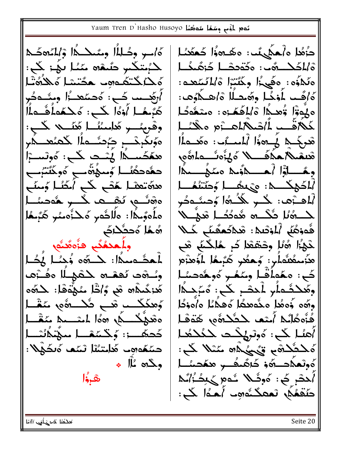هُاسِرٍ وِصُلَّلًا وِمُسْلَّحُلَّا وْلِمُدْهَلَكُمْ لْجُبْتَكْسِ حَتَّمْهِ مَمْا لِهَٰ: كُبِ: ەكلىكتۇمەم ھۇتىشا ەللاششا أَرَكَــــــــــ كَــــــ وَحـَــُــعدـــزّا وبـــُـــوكَــر كَبُسُما أَذْهَا لَكَن: كَكْمُهاَقْــهاَا وڤوہئے وکامنٹا کے کب: ەوَىكْرِكْبِ جَرْحِنُـــەلَا كَلْمَنْعَـــدُّمِ هَمُكَسِــدًا لَهُــد كَــب: كَوِنْســرْا حمْدَهُنُــا وَسَهُقُبِ هُوكُنْتَنِب ھەتھلا كەن كە أىڭلا ۇمىگ ەۋشىم ئۇسىم گىر ھەدىئىل ەلەۋىكا: ەللېم كىڭمىئې كېگىل هُـهُا هُحثُكْ(کَم  $\mid$ ولمُعطِمُكُم فِأُهقُدُوا لْمَحْـٰـٰمِـمَدًّا؛ لِــَـٰهُٯ وُجِئُـا لِمُحُـا وُـُــُهُـد نُـُـَـقِيم لِــُــُمْلِــلَّا هَفُــْ;َهـ هَٰذِكُمْاه هُمْ وُاٰتْنَا مُنْهَٰتُهُا: ﴿ هُوَ وُهكُكْـــد قْبَـــ رُوُّهِ مَنْقَــا ەقدىڭگە ھەل لمىشىمە ئىقْسا كَحكَــــز: وُخْــُمْـهْــــــل مىيْنَـدُكْـــــل حَسِّعُوهِ - هَا الْمُتَمَالَ لَسَمَهِ وَالْحَكْلِ الْمَرْدَةِ وكحده ئلابه ۿڔؙؗٛۥ

حَزْهُا هِ أَهْمَا مِنَا عَلَى مِنْ الْمَمْكُمُ ەُلْمُكْـــ شَــ: ەكتەدشـــا كَرْمُىكــا هَكِلُوْهِ: هَفِّي أَلْ وَكُنُنْزَلَ هُ الْمُنْعَضَةِ: َهُ/قَــد لَموْهُـل وهُعباًا هُ/هـكَوُهـد: دْيَامْ وَالْمَسْكَالُ ٱلْمُكْتَرَى: مَسْعَدُهُ ا كَلَاقُــ ) اُصْلاً اهـ زَم مِلْكُـا هْدِجُكُمْ يُرْدَهُواْ أَمْلِمِسْآمَد: هَ هُشْدَاْ | هْلِمُسْلاً هُدُهُ کَ جُزْهُ تُسْمَدُهُ مِنْ وهُـــــارْٓا أَهــــــــاهُوْما همْنَيْــــما لْمُكْلِّكْ، وَيُعْصُلُ وَحَتْتُمُّـــلَ ٱلماء نُصر: لَكُلُّ اللَّهُ وَحَسَّمَكُنَّ لمسؤوُلا حُكْسِهِ هُودُهُسَلا هُدَيْسِلا فُووٰطُهُ ٱلْمَوْتَىدَا: شَدَاكُمفُسَّى شَلَا َحْجُزًا هُلًا وِحْقَقَا کَرِ هُلِگُمَّةٍ شَي هَزَىمَعُثَمَاُرٍ: وَحَقُدٍ هَٰٓبَـِعًا ۖ الْأَهْزَمِ كَي: هَمُمَلُقْطِ وِسُمُّىٍ هُوهُوَدِسُلُ | وهَكْشُملُو لْمَحْسِرِ كُبِ: هُمُكِكْلًا وهُه وُهمُل مِنْمُعِمَلِ وَهِيمَا وَاوْدُلُ فُزُّەكُلُّكْ أَسْفَ حَثَّكُمُّو هُدَّقْهَا أَهْلًا كُلّ: ەُوِتْرِيْكُت حْخُدْهُمْ ا ەلكىگە تۇرگەن ئىككىك ك َّەوِلْعاَدَـــەَوْ كَامُّىفُـــو ھەّدىئـــا أَحْشَرِ کَي: کَوشُلا شَمْعِ کَبِيشُنْ اَنَّمْ دَنْقَهُمْ تَعْمَدْدُوبِ أَحْدًا لَكِ:

تَعَلَّمُ السَّمَاءُ السَّمَّاءُ السَّمَّاءُ السَّمَّاءُ السَّمَّاءُ السَّمَّاءُ السَّمَّاءُ السَّمَ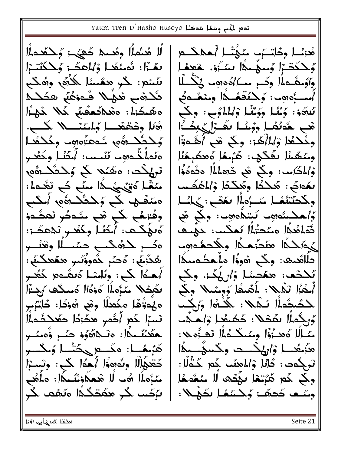لَا هُنُهاُ! ومُحمد كَنيْ: وَحْكَمَا! بِمَـٰٓ;ا: ثَمِّنُعُـا وَٰالِمِكَـٰ; وَكَكِّنّــٰٓ;ا سَّتَم: كُمْ مِعْسَا لَكُمْ وَهُكُمْ ثُلثُم شَرْبًا فُءنمُهُ همُلا ەھْمَحْزا: ەھْلاَكْمَعْشَ كَلا خْلْجْزَا هُلا وحْققط وُلْمَنْكُلا كُب. | وُلْكِنْلُ هُيْ شُمْعَتُوهِ وِهُلْعُدَ ەلەلمىلەم سىسىن الكلىل ولمكى تَرِيكُت: ەھَنَلا كَمْ وَلَحْثَكَ وَهُ مِ : لمَـفْـا مَعْيَـٰهِــٰهِ الْمَــٰىٰ رَبِّـٰهَـٰهُـد ەمئىھى كى ئېكشكىۋە أىكىم وفُتِمُ ۚ كُلُّ هُـ مُـُـدِّر لَعثُـدة َهِ رَكِّـدٌ ﴾ [مُكْتُل وِكَعُد لِمَاهَدٌ : ەكىر كەڭگى ھىمىللا وقىلىر هُدَّىَٰٓىٗ : ۚ هَحَبِ ۖ خُهووُّنِّسِ هِمُعَكِّنَٰٓىٗ : أهــُهُ لَكَــع: وِنُامِنْـا هُـنفُـدم خَمُنــو لَكُلِّكُلا مَكْبُهَا أَدْوَٰهُ أَمْسَكُفَ رُجِنَّ ا ەلمەۋقا ەڭھلا وقى ھُوْدًا: كَاتَبِبِر تَسْرًا خُمْ أَخُمْ مَدَّدُكُمْ حَمَّدْخُمْلَا َـْعَكْنُنُـْـْدِكْمَا : ەڷـْدْادُوُّە كُسْبِ ۋْەمْسْب كَبْهُما: مكْمِرِ حِكْسَا وُلْمَبْكَمْ بِ كَقْدَهُالًا وِثَوْهِ وَذَا أَحْمَا كَبِ : وَتَسْبَرَا مَدَّدُه) أَ هُت الْمَدْ هَدَادَ مُنْكَمَاً : مَا هُبَ يَرْحُب لَكِ هِكُتْكُمُّا هَنُّقْف كُلِّ

هُذِبًا وِكَاتِّبِ مَحْشًا أَحْمَكُم وَحِكَتَ ۚ إِنَّ وَسَوَّسَكُا لَّمَـٰٓ وَفَلَّ بِمَعِنْهَا ۖ |وَآوُمِثْـداً| وكَــرِ ممــاً/ەُدەب لِنْـلْبال أمسؤّدوه : وَكَنَفْعُكُمْ وَمَعْدَدُ ئْدْهُوْ: وَيُنْلُ وَوُيْتْلُ وْكَالْمُؤْبِ: وِكْبَ هْبِ هُدَنُكُمْ وَوُسُمْ بِكَيْرِكُمْ وَالْكَلِيَكُمْ أَرْ |وِحُكْمُا وۡ/َاٰأَهُ: وِكَى شَى أَهُـهَۥٓٓا ومَصَّمُا بِكَحِيٍّ: كَبُسُها هَمْكُرِهُمَّا وْٱلْمَكَامِبِ: وِيكُمْ ثُمْ دْ1ْلَالُ دَثَّدَهُوْا بِفَوْرَى : مُحِكْمًا ومُحَكَّدًا وْالْمُكَسَّب وكطَّتْتُعُمَّا سَــرُّهَا لَعَصَــ: كَانُمَا أَوَّا مُكْسَدُونَ تَبْتَدُّهُ وَبِيَنَ وَجَلَجَ شَيْ ثَّمْلَهُٰدًا مِمْحَبُّلًا نُعكَّب: حَيُّبُّهِ لكماه المعنون المكافئ دَلَامٌده: وِكُمْ ۞ووُا ۞لِّعشُـهمدُا تَكْتُف: هَمُحْسًا وْارْ يُكَنّ. وكُلّ أَمْعُوا تِكْلا: لَمَّعْدَا وَوِسَّلا وِكَبِ لحَصُدُه اُ تَـهُلا: لَكُـمُا وَرَكَـت وُرِجُماً لَمُحْلاً: كَشَمُّا وْاهِجُت مَعْلَلًا هُهْءُوْٓا ومُمَكَّمُاً لَعْذُهِ \*\* هَزَمْعُكُمْ وَيُهْرِكْكُمْ وَكَسَيْئِكُمْ أَ تَرِيكُوت: دُّانًا وْالْمَنَّبِ لَهُمْ لَحُدُّاًْا: وكُمْ كُمْ كُبِّتْهَا بِكُدْهَا لَا مُعْدَمُا ۖ وسِّم حُدهُـ; وُحْسَمُـا بَكُهُـلا :

الماأأ بهف الفكمة